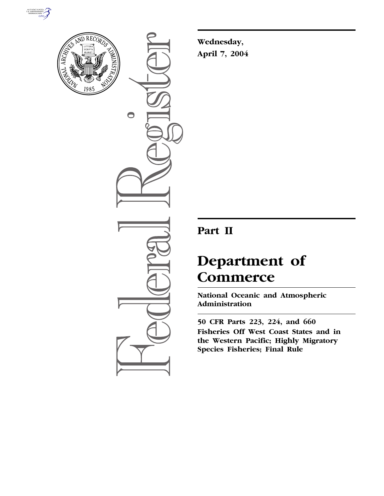



 $\bigcirc$ 

**Wednesday, April 7, 2004** 

# **Part II**

# **Department of Commerce**

**National Oceanic and Atmospheric Administration** 

**50 CFR Parts 223, 224, and 660 Fisheries Off West Coast States and in the Western Pacific; Highly Migratory Species Fisheries; Final Rule**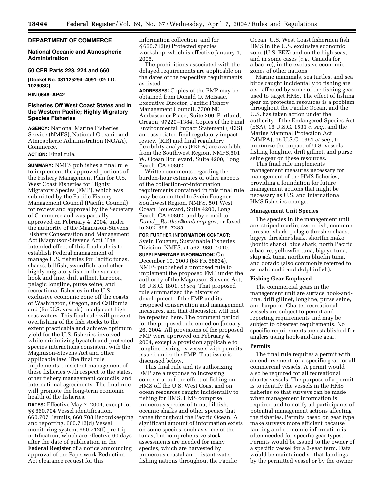# **DEPARTMENT OF COMMERCE**

# **National Oceanic and Atmospheric Administration**

# **50 CFR Parts 223, 224 and 660**

**[Docket No. 031125294–4091–02; I.D. 102903C]** 

### **RIN 0648–AP42**

# **Fisheries Off West Coast States and in the Western Pacific; Highly Migratory Species Fisheries**

**AGENCY:** National Marine Fisheries Service (NMFS), National Oceanic and Atmospheric Administration (NOAA), Commerce.

# **ACTION:** Final rule.

**SUMMARY:** NMFS publishes a final rule to implement the approved portions of the Fishery Management Plan for U.S. West Coast Fisheries for Highly Migratory Species (FMP), which was submitted by the Pacific Fishery Management Council (Pacific Council) for review and approval by the Secretary of Commerce and was partially approved on February 4, 2004, under the authority of the Magnuson-Stevens Fishery Conservation and Management Act (Magnuson-Stevens Act). The intended effect of this final rule is to establish Federal management of manage U.S. fisheries for Pacific tunas, sharks, billfish, swordfish, and other highly migratory fish in the surface hook and line, drift gillnet, harpoon, pelagic longline, purse seine, and recreational fisheries in the U.S. exclusive economic zone off the coasts of Washington, Oregon, and California and (for U.S. vessels) in adjacent high seas waters. This final rule will prevent overfishing of the fish stocks to the extent practicable and achieve optimum yield for the U.S. fisheries involved while minimizing bycatch and protected species interactions consistent with the Magnuson-Stevens Act and other applicable law. The final rule implements consistent management of these fisheries with respect to the states, other fishery management councils, and international agreements. The final rule will promote the long-term economic health of the fisheries.

**DATES:** Effective May 7, 2004, except for §§ 660.704 Vessel identification, 660.707 Permits, 660.708 Recordkeeping and reporting, 660.712(d) Vessel monitoring system, 660.712(f) pre-trip notification, which are effective 60 days after the date of publication in the **Federal Register** of a notice announcing approval of the Paperwork Reduction Act clearance request for this

information collection; and for § 660.712(e) Protected species workshop, which is effective January 1, 2005.

The prohibitions associated with the delayed requirements are applicable on the dates of the respective requirements as listed.

**ADDRESSES:** Copies of the FMP may be obtained from Donald O. McIsaac, Executive Director, Pacific Fishery Management Council, 7700 NE Ambassador Place, Suite 200, Portland, Oregon, 97220–1384. Copies of the Final Environmental Impact Statement (FEIS) and associated final regulatory impact review (RIR) and final regulatory flexibility analysis (FRFA) are available from the Southwest Region, NMFS,501 W. Ocean Boulevard, Suite 4200, Long Beach, CA 90802.

Written comments regarding the burden-hour estimates or other aspects of the collection-of-information requirements contained in this final rule may be submitted to Svein Fougner, Southwest Region, NMFS, 501 West Ocean Boulevard, Suite 4200, Long Beach, CA 90802. and by e-mail to *David*l*Rostker@omb.eop.gov*, or faxed to 202–395–7285.

**FOR FURTHER INFORMATION CONTACT:**  Svein Fougner, Sustainable Fisheries Division, NMFS, at 562–980–4040.

**SUPPLEMENTARY INFORMATION:** On December 10, 2003 (68 FR 68834), NMFS published a proposed rule to implement the proposed FMP under the authority of the Magnuson-Stevens Act, 16 U.S.C. 1801, *et seq.* That proposed rule summarized the history of development of the FMP and its proposed conservation and management measures, and that discussion will not be repeated here. The comment period for the proposed rule ended on January 26, 2004. All provisions of the proposed FMP were approved on February 4, 2004, except a provision applicable to longline fishing by vessels with permits issued under the FMP. That issue is discussed below.

This final rule and its authorizing FMP are a response to increasing concern about the effect of fishing on HMS off the U.S. West Coast and on ocean resources caught incidentally to fishing for HMS. HMS comprise numerous species of tuna, billfish, oceanic sharks and other species that range throughout the Pacific Ocean. A significant amount of information exists on some species, such as some of the tunas, but comprehensive stock assessments are needed for many species, which are harvested by numerous coastal and distant-water fishing nations throughout the Pacific

Ocean. U.S. West Coast fishermen fish HMS in the U.S. exclusive economic zone (U.S. EEZ) and on the high seas, and in some cases (*e.g.*, Canada for albacore), in the exclusive economic zones of other nations.

Marine mammals, sea turtles, and sea birds caught incidentally to fishing are also affected by some of the fishing gear used to target HMS. The effect of fishing gear on protected resources is a problem throughout the Pacific Ocean, and the U.S. has taken action under the authority of the Endangered Species Act (ESA), 16 U.S.C. 1531 *et seq.*, and the Marine Mammal Protection Act (MMPA), 16 U.S.C. 1361 *et seq.*, to minimize the impact of U.S. vessels fishing longline, drift gillnet, and purse seine gear on these resources.

This final rule implements management measures necessary for management of the HMS fisheries, providing a foundation for future management actions that might be necessary as U.S. and international HMS fisheries change.

#### **Management Unit Species**

The species in the management unit are: striped marlin, swordfish, common thresher shark, pelagic thresher shark, bigeye thresher shark, shortfin mako (bonito shark), blue shark, north Pacific albacore, yellowfin tuna, bigeye tuna, skipjack tuna, northern bluefin tuna, and dorado (also commonly referred to as mahi mahi and dolphinfish).

### **Fishing Gear Employed**

The commercial gears in the management unit are surface hook-andline, drift gillnet, longline, purse seine, and harpoon. Charter recreational vessels are subject to permit and reporting requirements and may be subject to observer requirements. No specific requirements are established for anglers using hook-and-line gear.

#### **Permits**

The final rule requires a permit with an endorsement for a specific gear for all commercial vessels. A permit would also be required for all recreational charter vessels. The purpose of a permit is to identify the vessels in the HMS fisheries so that surveys can be made when management information is required and to notify all participants of potential management actions affecting the fisheries. Permits based on gear type make surveys more efficient because landing and economic information is often needed for specific gear types. Permits would be issued to the owner of a specific vessel for a 2-year term. Data would be maintained so that landings by the permitted vessel or by the owner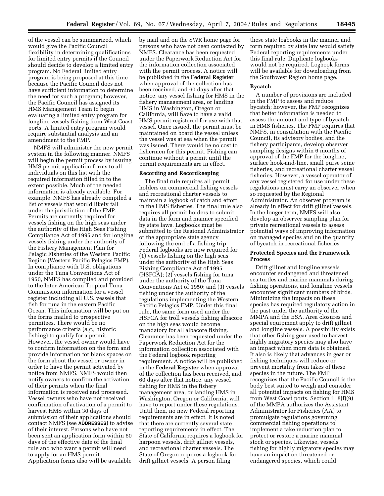of the vessel can be summarized, which would give the Pacific Council flexibility in determining qualifications for limited entry permits if the Council should decide to develop a limited entry program. No Federal limited entry program is being proposed at this time because the Pacific Council does not have sufficient information to determine the need for such a program; however, the Pacific Council has assigned its HMS Management Team to begin evaluating a limited entry program for longline vessels fishing from West Coast ports. A limited entry program would require substantial analysis and an amendment to the FMP.

NMFS will administer the new permit system in the following manner. NMFS will begin the permit process by issuing HMS permit application forms to all individuals on this list with the required information filled in to the extent possible. Much of the needed information is already available. For example, NMFS has already compiled a list of vessels that would likely fall under the jurisdiction of the FMP. Permits are currently required for vessels fishing on the high seas under the authority of the High Seas Fishing Compliance Act of 1995 and for longline vessels fishing under the authority of the Fishery Management Plan for Pelagic Fisheries of the Western Pacific Region (Western Pacific Pelagics FMP). In compliance with U.S. obligations under the Tuna Conventions Act of 1950, NMFS has compiled and provided to the Inter-American Tropical Tuna Commission information for a vessel register including all U.S. vessels that fish for tuna in the eastern Pacific Ocean. This information will be put on the forms mailed to prospective permitees. There would be no performance criteria (*e.g.*, historic fishing) to qualify for a permit. However, the vessel owner would have to confirm information on the form and provide information for blank spaces on the form about the vessel or owner in order to have the permit activated by notice from NMFS. NMFS would then notify owners to confirm the activation of their permits when the final information is received and processed. Vessel owners who have not received confirmation of activation of a permit to harvest HMS within 30 days of submission of their applications should contact NMFS (see **ADDRESSES**) to advise of their interest. Persons who have not been sent an application form within 60 days of the effective date of the final rule and who want a permit will need to apply for an HMS permit. Application forms also will be available

by mail and on the SWR home page for persons who have not been contacted by NMFS. Clearance has been requested under the Paperwork Reduction Act for the information collection associated with the permit process. A notice will be published in the **Federal Register**  when approval of the collection has been received, and 60 days after that notice, any vessel fishing for HMS in the fishery management area, or landing HMS in Washington, Oregon or California, will have to have a valid HMS permit registered for use with that vessel. Once issued, the permit must be maintained on board the vessel unless the vessel was at sea when the permit was issued. There would be no cost to fishermen for this permit. Fishing can continue without a permit until the permit requirements are in effect.

#### **Recording and Recordkeeping**

The final rule requires all permit holders on commercial fishing vessels and recreational charter vessels to maintain a logbook of catch and effort in the HMS fisheries. The final rule also requires all permit holders to submit data in the form and manner specified by state laws. Logbooks must be submitted to the Regional Administrator or the appropriate state agency following the end of a fishing trip. Federal logbooks are now required for (1) vessels fishing on the high seas under the authority of the High Seas Fishing Compliance Act of 1995 (HSFCA); (2) vessels fishing for tuna under the authority of the Tuna Conventions Act of 1950; and (3) vessels fishing under the authority of the regulations implementing the Western Pacific Pelagics FMP. Under this final rule, the same form used under the HSFCA for troll vessels fishing albacore on the high seas would become mandatory for all albacore fishing. Clearance has been requested under the Paperwork Reduction Act for the information collection associated with the Federal logbook reporting requirement. A notice will be published in the **Federal Register** when approval of the collection has been received, and 60 days after that notice, any vessel fishing for HMS in the fishery management area, or landing HMS in Washington, Oregon or California, will have to report under these regulations. Until then, no new Federal reporting requirements are in effect. It is noted that there are currently several state reporting requirements in effect. The State of California requires a logbook for harpoon vessels, drift gillnet vessels, and recreational charter vessels. The State of Oregon requires a logbook for drift gillnet vessels. A person filing

these state logbooks in the manner and form required by state law would satisfy Federal reporting requirements under this final rule. Duplicate logbooks would not be required. Logbook forms will be available for downloading from the Southwest Region home page.

## **Bycatch**

A number of provisions are included in the FMP to assess and reduce bycatch; however, the FMP recognizes that better information is needed to assess the amount and type of bycatch in HMS fisheries. The FMP requires that NMFS, in consultation with the Pacific Council, its advisory bodies, and the fishery participants, develop observer sampling designs within 6 months of approval of the FMP for the longline, surface hook-and-line, small purse seine fisheries, and recreational charter vessel fisheries. However, a vessel operator of any vessel registered for use under these regulations must carry an observer when so requested by the Regional Administrator. An observer program is already in effect for drift gillnet vessels. In the longer term, NMFS will also develop an observer sampling plan for private recreational vessels to assess potential ways of improving information on managed species and on the quantity of bycatch in recreational fisheries.

# **Protected Species and the Framework Process**

Drift gillnet and longline vessels encounter endangered and threatened sea turtles and marine mammals during fishing operations, and longline vessels encounter significant numbers of birds. Minimizing the impacts on these species has required regulatory action in the past under the authority of the MMPA and the ESA. Area closures and special equipment apply to drift gillnet and longline vessels. A possibility exists that other fishing gear used to harvest highly migratory species may also have an impact when more data is obtained. It also is likely that advances in gear or fishing techniques will reduce or prevent mortality from takes of these species in the future. The FMP recognizes that the Pacific Council is the body best suited to weigh and consider all potential impacts on fishing for HMS from West Coast ports. Section 118(f)(9) of the MMPA authorizes the Assistant Administrator for Fisheries (AA) to promulgate regulations governing commercial fishing operations to implement a take reduction plan to protect or restore a marine mammal stock or species. Likewise, vessels fishing for highly migratory species may have an impact on threatened or endangered species, which could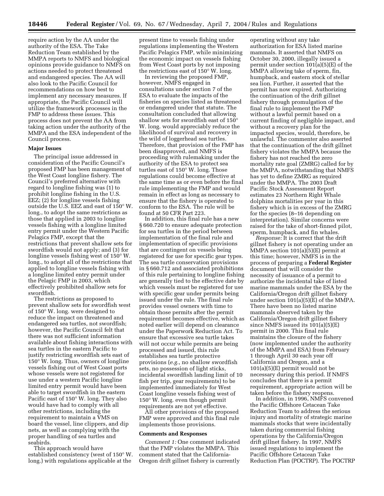require action by the AA under the authority of the ESA. The Take Reduction Team established by the MMPA reports to NMFS and biological opinions provide guidance to NMFS on actions needed to protect threatened and endangered species. The AA will also look to the Pacific Council for recommendations on how best to implement any necessary measures. If appropriate, the Pacific Council will utilize the framework processes in the FMP to address these issues. This process does not prevent the AA from taking action under the authority of the MMPA and the ESA independent of the Council process.

### **Major Issues**

The principal issue addressed in consideration of the Pacific Council's proposed FMP has been management of the West Coast longline fishery. The Council's preferred alternative with regard to longline fishing was (1) to prohibit longline fishing in the U.S. EEZ; (2) for longline vessels fishing outside the U.S. EEZ and east of 150° W. long., to adopt the same restrictions as those that applied in 2003 to longline vessels fishing with a longline limited entry permit under the Western Pacific Pelagics FMP, except that the restrictions that prevent shallow sets for swordfish would not apply; and (3) for longline vessels fishing west of 150° W. long., to adopt all of the restrictions that applied to longline vessels fishing with a longline limited entry permit under the Pelagic FMP in 2003, which effectively prohibited shallow sets for swordfish.

The restrictions as proposed to prevent shallow sets for swordfish west of 150° W. long. were designed to reduce the impact on threatened and endangered sea turtles, not swordfish; however, the Pacific Council felt that there was not sufficient information available about fishing interactions with sea turtles in the eastern Pacific to justify restricting swordfish sets east of 150° W. long. Thus, owners of longline vessels fishing out of West Coast ports whose vessels were not registered for use under a western Pacific longline limited entry permit would have been able to target swordfish in the eastern Pacific east of 150° W. long. They also would have had to comply with all other restrictions, including the requirement to maintain a VMS on board the vessel, line clippers, and dip nets, as well as complying with the proper handling of sea turtles and seabirds.

This approach would have established consistency (west of 150° W. long.) with regulations applicable at the

present time to vessels fishing under regulations implementing the Western Pacific Pelagics FMP, while minimizing the economic impact on vessels fishing from West Coast ports by not imposing the restrictions east of 150° W. long.

In reviewing the proposed FMP, however, NMFS engaged in consultations under section 7 of the ESA to evaluate the impacts of the fisheries on species listed as threatened or endangered under that statute. The consultation concluded that allowing shallow sets for swordfish east of 150° W. long. would appreciably reduce the likelihood of survival and recovery in the wild of loggerhead sea turtles. Therefore, that provision of the FMP has been disapproved, and NMFS is proceeding with rulemaking under the authority of the ESA to protect sea turtles east of 150° W. long. Those regulations could become effective at the same time as or even before the final rule implementing the FMP and would remain in effect as long as necessary to ensure that the fishery is operated to conform to the ESA. The rule will be found at 50 CFR Part 223.

In addition, this final rule has a new § 660.720 to ensure adequate protection for sea turtles in the period between implementation of the final rule and implementation of specific provisions that are contingent on vessels being registered for use for specific gear types. The sea turtle conservation provisions in § 660.712 and associated prohibitions of this rule pertaining to longline fishing are generally tied to the effective date by which vessels must be registered for use with specific gear under permits being issued under the rule. The final rule provides vessel owners with time to obtain those permits after the permit requirement becomes effective, which as noted earlier will depend on clearance under the Paperwork Reduction Act. To ensure that excessive sea turtle takes will not occur while permits are being processed and issued, this rule establishes sea turtle protective provisions (*e.g.*, no shallow swordfish sets, no possession of light sticks, incidental swordfish landing limit of 10 fish per trip, gear requirements) to be implemented immediately for West Coast longline vessels fishing west of 150° W. long. even though permit requirements are not yet effective.

All other provisions of the proposed FMP were approved and this final rule implements those provisions.

#### **Comments and Responses**

*Comment 1:* One comment indicated that the FMP violates the MMPA. This comment stated that the California-Oregon drift gillnet fishery is currently

operating without any take authorization for ESA listed marine mammals. It asserted that NMFS on October 30, 2000, illegally issued a permit under section  $101(a)(5)(E)$  of the MMPA allowing take of sperm, fin, humpback, and eastern stock of stellar sea lion. Further, it asserted that the permit has now expired. Authorizing the continuation of the drift gillnet fishery through promulgation of the final rule to implement the FMP without a lawful permit based on a current finding of negligible impact, and without a recovery plan for the impacted species, would, therefore, be unlawful. The commenter also asserted that the continuation of the drift gillnet fishery violates the MMPA because the fishery has not reached the zero mortality rate goal (ZMRG) called for by the MMPA, notwithstanding that NMFS has yet to define ZMRG as required under the MMPA. The 2003 Draft Pacific Stock Assessment Report estimates 23 Northern Right Whale dolphins mortalities per year in this fishery which is in excess of the ZMRG for the species (8–16 depending on interpretation). Similar concerns were raised for the take of short-finned pilot, sperm, humpback, and fin whales.

*Response:* It is correct that the drift gillnet fishery is not operating under an MMPA section 101(a)(5)(E) permit at this time; however, NMFS is in the process of preparing a **Federal Register**  document that will consider the necessity of issuance of a permit to authorize the incidental take of listed marine mammals under the ESA by the California/Oregon drift gillnet fishery under section 101(a)(5)(E) of the MMPA. There have been no listed marine mammals observed taken by the California/Oregon drift gillnet fishery since NMFS issued its 101(a)(5)(E) permit in 2000. This final rule maintains the closure of the fishery (now implemented under the authority of the MMPA and ESA) from February 1 through April 30 each year off California and Oregon, and a  $101(a)(5)(E)$  permit would not be necessary during this period. If NMFS concludes that there is a permit requirement, appropriate action will be taken before the fishery reopens.

In addition, in 1996, NMFS convened the Pacific Offshore Cetacean Take Reduction Team to address the serious injury and mortality of strategic marine mammals stocks that were incidentally taken during commercial fishing operations by the California/Oregon drift gillnet fishery. In 1997, NMFS issued regulations to implement the Pacific Offshore Cetacean Take Reduction Plan (POCTRP). The POCTRP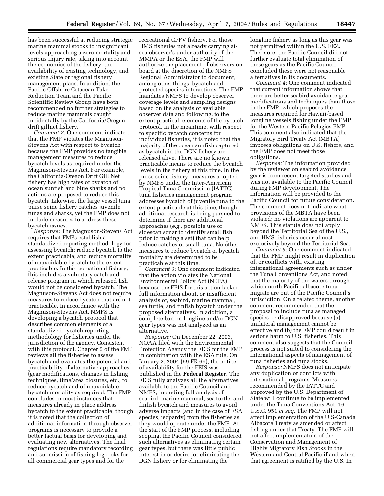has been successful at reducing strategic marine mammal stocks to insignificant levels approaching a zero mortality and serious injury rate, taking into account the economics of the fishery, the availability of existing technology, and existing State or regional fishery management plans. In addition, the Pacific Offshore Cetacean Take Reduction Team and the Pacific Scientific Review Group have both recommended no further strategies to reduce marine mammals caught incidentally by the California/Oregon drift gillnet fishery.

*Comment 2:* One comment indicated that the FMP violates the Magnuson-Stevens Act with respect to bycatch because the FMP provides no tangible management measures to reduce bycatch levels as required under the Magnuson-Stevens Act. For example, the California-Oregon Drift Gill Net fishery has high rates of bycatch of ocean sunfish and blue sharks and no actions are proposed to reduce this bycatch. Likewise, the large vessel tuna purse seine fishery catches juvenile tunas and sharks, yet the FMP does not include measures to address these bycatch issues.

*Response:* The Magnuson-Stevens Act requires that FMPs establish a standardized reporting methodology for assessing bycatch; reduce bycatch to the extent practicable; and reduce mortality of unavoidable bycatch to the extent practicable. In the recreational fishery, this includes a voluntary catch and release program in which released fish would not be considered bycatch. The Magnuson-Stevens Act does not require measures to reduce bycatch that are not practicable. In accordance with the Magnuson-Stevens Act, NMFS is developing a bycatch protocol that describes common elements of a standardized bycatch reporting methodology for fisheries under the jurisdiction of the agency. Consistent with this protocol, Chapter 5 of the FMP reviews all the fisheries to assess bycatch and evaluates the potential and practicability of alternative approaches (gear modifications, changes in fishing techniques, time/area closures, etc.) to reduce bycatch and of unavoidable bycatch mortality as required. The FMP concludes in most instances that measures already in place address bycatch to the extent practicable, though it is noted that the collection of additional information through observer programs is necessary to provide a better factual basis for developing and evaluating new alternatives. The final regulations require mandatory recording and submission of fishing logbooks for all commercial gear types and for the

recreational CPFV fishery. For those HMS fisheries not already carrying atsea observer's under authority of the MMPA or the ESA, the FMP will authorize the placement of observers on board at the discretion of the NMFS Regional Administrator to document, among other things, bycatch and protected species interactions. The FMP mandates NMFS to develop observer coverage levels and sampling designs based on the analysis of available observer data and following, to the extent practical, elements of the bycatch protocol. In the meantime, with respect to specific bycatch concerns for individual fisheries, it is noted that the majority of the ocean sunfish captured as bycatch in the DGN fishery are released alive. There are no known practicable means to reduce the bycatch levels in the fishery at this time. In the purse seine fishery, measures adopted by NMFS under the Inter-American Tropical Tuna Commission (IATTC) tuna fisheries management program addresses bycatch of juvenile tuna to the extent practicable at this time, though additional research is being pursued to determine if there are additional approaches (*e.g.*, possible use of sidescan sonar to identify small fish prior to making a set) that can help reduce catches of small tuna. No other measures to reduce bycatch or bycatch mortality are determined to be practicable at this time.

*Comment 3:* One comment indicated that the action violates the National Environmental Policy Act (NEPA) because the FEIS for this action lacked full information about, or insufficient analysis of, seabird, marine mammal, sea turtle, and finfish bycatch under the proposed alternatives. In addition, a complete ban on longline and/or DGN gear types was not analyzed as an alternative.

*Response:* On December 22, 2003, NOAA filed with the Environmental Protection Agency the FEIS for the FMP in combination with the ESA rule. On January 2, 2004 (69 FR 69), the notice of availability for the FEIS was published in the **Federal Register**. The FEIS fully analyzes all the alternatives available to the Pacific Council and NMFS, including full analysis of seabird, marine mammal, sea turtle, and finfish bycatch and measures to avoid adverse impacts (and in the case of ESA species, jeopardy) from the fisheries as they would operate under the FMP. At the start of the FMP process, including scoping, the Pacific Council considered such alternatives as eliminating certain gear types, but there was little public interest in or desire for eliminating the DGN fishery or for eliminating the

longline fishery as long as this gear was not permitted within the U.S. EEZ. Therefore, the Pacific Council did not further evaluate total elimination of these gears as the Pacific Council concluded these were not reasonable alternatives in its documents.

*Comment 4:* One comment indicated that current information shows that there are better seabird avoidance gear modifications and techniques than those in the FMP, which proposes the measures required for Hawaii-based longline vessels fishing under the FMP for the Western Pacific Pelagics FMP. This comment also indicated that the Migratory Bird Treaty Act (MBTA) imposes obligations on U.S. fishers, and the FMP does not meet those obligations.

*Response:* The information provided by the reviewer on seabird avoidance gear is from recent targeted studies and was not available to the Pacific Council during FMP development. The information will be provided to the Pacific Council for future consideration. The comment does not indicate what provisions of the MBTA have been violated; no violations are apparent to NMFS. This statute does not apply beyond the Territorial Sea of the U.S., and HMS fisheries occur almost exclusively beyond the Territorial Sea.

*Comment 5:* One comment indicated that the FMP might result in duplication of, or conflicts with, existing international agreements such as under the Tuna Conventions Act, and noted that the majority of the waters through which north Pacific albacore tuna migrate are out of the Pacific Council's jurisdiction. On a related theme, another comment recommended that the proposal to include tuna as managed species be disapproved because (a) unilateral management cannot be effective and (b) the FMP could result in serious harm to U.S. fisheries. This comment also suggests that the Council process is not suited to considering the international aspects of management of tuna fisheries and tuna stocks.

*Response:* NMFS does not anticipate any duplication or conflicts with international programs. Measures recommended by the IATTC and approved by the U.S. Department of State will continue to be implemented under the Tuna Conventions Act, 16 U.S.C. 951 *et seq.* The FMP will not affect implementation of the U.S-Canada Albacore Treaty as amended or affect fishing under that Treaty. The FMP will not affect implementation of the Conservation and Management of Highly Migratory Fish Stocks in the Western and Central Pacific if and when that agreement is ratified by the U.S. In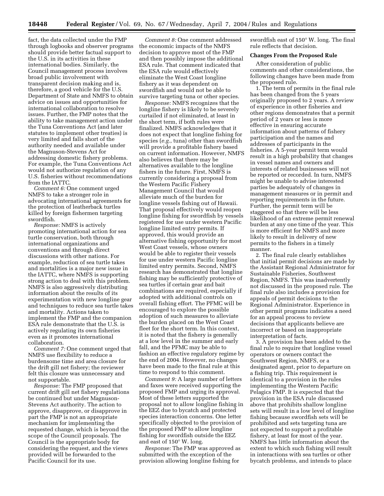fact, the data collected under the FMP through logbooks and observer programs should provide better factual support to the U.S. in its activities in these international bodies. Similarly, the Council management process involves broad public involvement with transparent decision making and is, therefore, a good vehicle for the U.S. Department of State and NMFS to obtain advice on issues and opportunities for international collaboration to resolve issues. Further, the FMP notes that the ability to take management action under the Tuna Conventions Act (and later statutes to implement other treaties) is very limited and falls short of the authority needed and available under the Magnuson-Stevens Act for addressing domestic fishery problems. For example, the Tuna Conventions Act would not authorize regulation of any U.S. fisheries without recommendations from the IATTC.

*Comment 6:* One comment urged NMFS to take a stronger role in advocating international agreements for the protection of leatherback turtles killed by foreign fishermen targeting swordfish.

*Response:* NMFS is actively promoting international action for sea turtle conservation, both through international organizations and conventions and through direct discussions with other nations. For example, reduction of sea turtle takes and mortalities is a major new issue in the IATTC, where NMFS is supporting strong action to deal with this problem. NMFS is also aggressively distributing information about the results of its experimentation with new longline gear and techniques to reduce sea turtle takes and mortality. Actions taken to implement the FMP and the companion ESA rule demonstrate that the U.S. is actively regulating its own fisheries even as it promotes international collaboration.

*Comment 7:* One comment urged that NMFS use flexibility to reduce a burdensome time and area closure for the drift gill net fishery; the reviewer felt this closure was unnecessary and not supportable.

*Response:* The FMP proposed that current drift gill net fishery regulations be continued but under Magnuson-Stevens Act authority. The action to approve, disapprove, or disapprove in part the FMP is not an appropriate mechanism for implementing the requested change, which is beyond the scope of the Council proposals. The Council is the appropriate body for considering the request, and the views provided will be forwarded to the Pacific Council for its use.

*Comment 8:* One comment addressed the economic impacts of the NMFS decision to approve most of the FMP and then possibly impose the additional ESA rule. That comment indicated that the ESA rule would effectively eliminate the West Coast longline fishery as it was dependent on swordfish and would not be able to survive targeting tuna or other species.

*Response:* NMFS recognizes that the longline fishery is likely to be severely curtailed if not eliminated, at least in the short term, if both rules were finalized. NMFS acknowledges that it does not expect that longline fishing for species (*e.g.*, tuna) other than swordfish will provide a profitable fishery based on current information. However, NMFS also believes that there may be alternatives available to the longline fishers in the future. First, NMFS is currently considering a proposal from the Western Pacific Fishery Management Council that would alleviate much of the burden for longline vessels fishing out of Hawaii. That proposal effectively would reopen longline fishing for swordfish by vessels registered for use under western Pacific longline limited entry permits. If approved, this would provide an alternative fishing opportunity for most West Coast vessels, whose owners would be able to register their vessels for use under western Pacific longline limited entry permits. Second, NMFS research has demonstrated that longline fishing may be sufficiently protective of sea turtles if certain gear and bait combinations are required, especially if adopted with additional controls on overall fishing effort. The PFMC will be encouraged to explore the possible adoption of such measures to alleviate the burden placed on the West Coast fleet for the short term. In this context, it is noted that the fishery is generally at a low level in the summer and early fall, and the PFMC may be able to fashion an effective regulatory regime by the end of 2004. However, no changes have been made to the final rule at this time to respond to this comment.

*Comment 9:* A large number of letters and faxes were received supporting the proposed FMP and urging its approval. Most of these letters supported the proposal not to allow longline fishing in the EEZ due to bycatch and protected species interaction concerns. One letter specifically objected to the provision of the proposed FMP to allow longline fishing for swordfish outside the EEZ and east of 150° W. long.

*Response:* The FMP was approved as submitted with the exception of the provision allowing longline fishing for

swordfish east of 150° W. long. The final rule reflects that decision.

#### **Changes From the Proposed Rule**

After consideration of public comments and other considerations, the following changes have been made from the proposed rule.

1. The term of permits in the final rule has been changed from the 5 years originally proposed to 2 years. A review of experience in other fisheries and other regions demonstrates that a permit period of 2 years or less is more effective in ensuring accurate information about patterns of fishery participation and the names and addresses of participants in the fisheries. A 5-year permit term would result in a high probability that changes in vessel names and owners and interests of related businesses will not be reported or recorded. In turn, NMFS might be unable to advise interested parties be adequately of changes in management measures or in permit and reporting requirements in the future. Further, the permit term will be staggered so that there will be less likelihood of an extreme permit renewal burden at any one time of the year. This is more efficient for NMFS and more likely to result in delivery of new permits to the fishers in a timely manner.

2. The final rule clearly establishes that initial permit decisions are made by the Assistant Regional Administrator for Sustainable Fisheries, Southwest Region, NMFS. This was inadvertently not discussed in the proposed rule. The final rule also includes a provision for appeals of permit decisions to the Regional Administrator. Experience in other permit programs indicates a need for an appeal process to review decisions that applicants believe are incorrect or based on inappropriate interpretation of facts.

3. A provision has been added to the final rule to require that longline vessel operators or owners contact the Southwest Region, NMFS, or a designated agent, prior to departure on a fishing trip. This requirement is identical to a provision in the rules implementing the Western Pacific Pelagics FMP. It is expected that the provision in the ESA rule discussed above that prohibits shallow longline sets will result in a low level of longline fishing because swordfish sets will be prohibited and sets targeting tuna are not expected to support a profitable fishery, at least for most of the year. NMFS has little information about the extent to which such fishing will result in interactions with sea turtles or other bycatch problems, and intends to place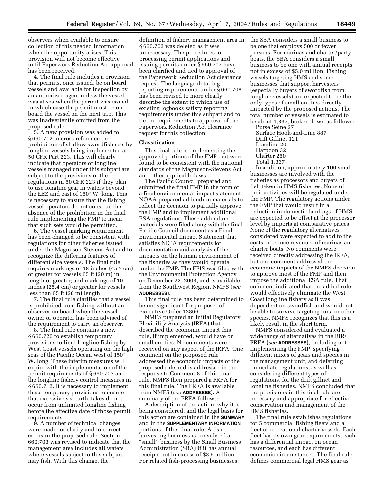observers when available to ensure collection of this needed information when the opportunity arises. This provision will not become effective until Paperwork Reduction Act approval has been received.

4. The final rule includes a provision that permits, once issued, be on board vessels and available for inspection by an authorized agent unless the vessel was at sea when the permit was issued, in which case the permit must be on board the vessel on the next trip. This was inadvertently omitted from the proposed rule.

5. A new provision was added to § 660.712 to cross-reference the prohibition of shallow swordfish sets by longline vessels being implemented at 50 CFR Part 223. This will clearly indicate that operators of longline vessels managed under this subpart are subject to the provisions of the regulations in 50 CFR 223 if they plan to use longline gear in waters beyond the EEZ and east of 150° W. long. This is necessary to ensure that the fishing vessel operators do not construe the absence of the prohibition in the final rule implementing the FMP to mean that such sets would be permitted.

6. The vessel marking requirement has been changed to be consistent with regulations for other fisheries issued under the Magnuson-Stevens Act and to recognize the differing features of different size vessels. The final rule requires markings of 18 inches (45.7 cm) or greater for vessels 65 ft (20 m) in length or greater; and markings of 10 inches (25.4 cm) or greater for vessels less than 65 ft (20 m) length.

7. The final rule clarifies that a vessel is prohibited from fishing without an observer on board when the vessel owner or operator has been advised of the requirement to carry an observer.

8. The final rule contains a new § 660.720 to establish temporary provisions to limit longline fishing by West Coast vessels operating on the high seas of the Pacific Ocean west of 150° W. long. These interim measures will expire with the implementation of the permit requirements of § 660.707 and the longline fishery control measures in § 660.712. It is necessary to implement these temporary provisions to ensure that excessive sea turtle takes do not occur from unlimited longline fishing before the effective date of those permit requirements.

9. A number of technical changes were made for clarity and to correct errors in the proposed rule. Section 660.703 was revised to indicate that the management area includes all waters where vessels subject to this subpart may fish. With this change, the

definition of fishery management area in § 660.702 was deleted as it was unnecessary. The procedures for processing permit applications and issuing permits under § 660.707 have been clarified and tied to approval of the Paperwork Reduction Act clearance request. The language detailing reporting requirements under § 660.708 has been revised to more clearly describe the extent to which use of existing logbooks satisfy reporting requirements under this subpart and to tie the requirements to approval of the Paperwork Reduction Act clearance request for this collection.

# **Classification**

This final rule is implementing the approved portions of the FMP that were found to be consistent with the national standards of the Magnuson-Stevens Act and other applicable laws

The Pacific Council prepared and submitted the final FMP in the form of a final environmental impact statement. NOAA prepared addendum materials to reflect the decision to partially approve the FMP and to implement additional ESA regulations. These addendum materials were filed along with the final Pacific Council document as a Final Environmental Impact Statement that satisfies NEPA requirements for documentation and analysis of the impacts on the human environment of the fisheries as they would operate under the FMP. The FEIS was filed with the Environmental Protection Agency on December 22, 2003, and is available from the Southwest Region, NMFS (*see*  **ADDRESSES**).

This final rule has been determined to be not significant for purposes of Executive Order 12866.

NMFS prepared an Initial Regulatory Flexibility Analysis (IRFA) that described the economic impact this rule, if implemented, would have on small entities. No comments were received on any aspect of the IRFA. One comment on the proposed rule addressed the economic impacts of the proposed rule and is addressed in the response to Comment 8 of this final rule. NMFS then prepared a FRFA for this final rule. The FRFA is available from NMFS (*see* **ADDRESSES**). A summary of the FRFA follows:

A description of the action, why it is being considered, and the legal basis for this action are contained in the **SUMMARY** and in the **SUPPLEMENTARY INFORMATION** portions of this final rule. A fishharvesting business is considered a "small" business by the Small Business Administration (SBA) if it has annual receipts not in excess of \$3.5 million. For related fish-processing businesses,

the SBA considers a small business to be one that employs 500 or fewer persons. For marinas and charter/party boats, the SBA considers a small business to be one with annual receipts not in excess of \$5.0 million. Fishing vessels targeting HMS and some businesses that support harvesters (especially buyers of swordfish from longline vessels) are expected to be the only types of small entities directly impacted by the proposed actions. The total number of vessels is estimated to be about 1,337, broken down as follows: Purse Seine 27

Surface Hook-and-Line 887 Drift Gillnet 121 Longline 20 Harpoon 32 Charter 250 Total 1,337

In addition, approximately 100 small businesses are involved with the fisheries as processors and buyers of fish taken in HMS fisheries. None of their activities will be regulated under the FMP. The regulatory actions under the FMP that would result in a reduction in domestic landings of HMS are expected to be offset at the processor level by imports at comparative prices. None of the regulatory alternatives considered were expected to add to the costs or reduce revenues of marinas and charter boats. No comments were received directly addressing the IRFA, but one comment addressed the economic impacts of the NMFS decision to approve most of the FMP and then impose the additional ESA rule. That comment indicated that the added rule would effectively eliminate the West Coast longline fishery as it was dependent on swordfish and would not be able to survive targeting tuna or other species. NMFS recognizes that this is a likely result in the short term.

NMFS considered and evaluated a wide range of alternatives in the RIR/ FRFA (*see* **ADDRESSES**), including not implementing the FMP, specifying different mixes of gears and species in the management unit, and deferring immediate regulations, as well as considering different types of regulations, for the drift gillnet and longline fisheries. NMFS concluded that the provisions in this final rule are necessary and appropriate for effective conservation and management of the HMS fisheries.

The final rule establishes regulations for 5 commercial fishing fleets and a fleet of recreational charter vessels. Each fleet has its own gear requirements, each has a differential impact on ocean resources, and each has different economic circumstances. The final rule defines commercial legal HMS gear as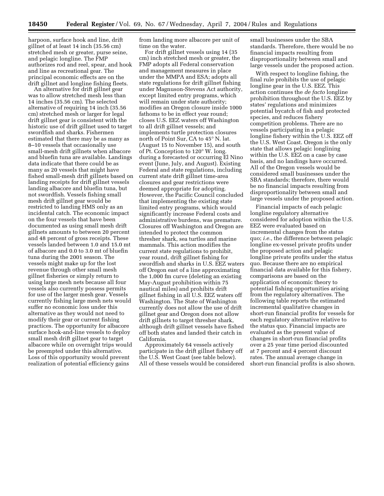harpoon, surface hook and line, drift gillnet of at least 14 inch (35.56 cm) stretched mesh or greater, purse seine, and pelagic longline. The FMP authorizes rod and reel, spear, and hook and line as recreational gear. The principal economic effects are on the drift gillnet and longline fishing fleets.

An alternative for drift gillnet gear was to allow stretched mesh less than 14 inches (35.56 cm). The selected alternative of requiring 14 inch (35.56 cm) stretched mesh or larger for legal drift gillnet gear is consistent with the historic use of drift gillnet used to target swordfish and sharks. Fishermen estimated that there may be as many as 8–10 vessels that occasionally use small-mesh drift gillnets when albacore and bluefin tuna are available. Landings data indicate that there could be as many as 20 vessels that might have fished small-mesh drift gillnets based on landing receipts for drift gillnet vessels landing albacore and bluefin tuna, but not swordfish. Vessels fishing small mesh drift gillnet gear would be restricted to landing HMS only as an incidental catch. The economic impact on the four vessels that have been documented as using small mesh drift gillnets amounts to between 20 percent and 48 percent of gross receipts. These vessels landed between 1.0 and 15.0 mt of albacore and 0.0 to 3.0 mt of bluefin tuna during the 2001 season. The vessels might make up for the lost revenue through other small mesh gillnet fisheries or simply return to using large mesh nets because all four vessels also currently possess permits for use of the larger mesh gear. Vessels currently fishing large mesh nets would suffer no economic loss under this alternative as they would not need to modify their gear or current fishing practices. The opportunity for albacore surface hook-and-line vessels to deploy small mesh drift gillnet gear to target albacore while on overnight trips would be preempted under this alternative. Loss of this opportunity would prevent realization of potential efficiency gains

from landing more albacore per unit of time on the water.

For drift gillnet vessels using 14 (35 cm) inch stretched mesh or greater, the FMP adopts all Federal conservation and management measures in place under the MMPA and ESA; adopts all state regulations for drift gillnet fishing under Magnuson-Stevens Act authority, except limited entry programs, which will remain under state authority; modifies an Oregon closure inside 1000 fathoms to be in effect year round; closes U.S. EEZ waters off Washington to all drift gillnet vessels; and implements turtle protection closures north of Point Sur, CA to 45° N. lat. (August 15 to November 15), and south of Pt. Conception to 120° W. long. during a forecasted or occurring El Nino event (June, July, and August). Existing Federal and state regulations, including current state drift gillnet time-area closures and gear restrictions were deemed appropriate for adopting. However, the Pacific Council concluded that implementing the existing state limited entry programs, which would significantly increase Federal costs and administrative burdens, was premature. Closures off Washington and Oregon are intended to protect the common thresher shark, sea turtles and marine mammals. This action modifies the current state regulations to prohibit, year round, drift gillnet fishing for swordfish and sharks in U.S. EEZ waters off Oregon east of a line approximating the 1,000 fm curve (deleting an existing May-August prohibition within 75 nautical miles) and prohibits drift gillnet fishing in all U.S. EEZ waters off Washington. The State of Washington currently does not allow the use of drift gillnet gear and Oregon does not allow drift gillnets to target thresher shark, although drift gillnet vessels have fished off both states and landed their catch in California.

Approximately 64 vessels actively participate in the drift gillnet fishery off the U.S. West Coast (see table below). All of these vessels would be considered

small businesses under the SBA standards. Therefore, there would be no financial impacts resulting from disproportionality between small and large vessels under the proposed action.

With respect to longline fishing, the final rule prohibits the use of pelagic longline gear in the U.S. EEZ. This action continues the *de facto* longline prohibition throughout the U.S. EEZ by states' regulations and minimizes potential bycatch of fish and protected species, and reduces fishery competition problems. There are no vessels participating in a pelagic longline fishery within the U.S. EEZ off the U.S. West Coast. Oregon is the only state that allows pelagic longlining within the U.S. EEZ on a case by case basis, and no landings have occurred. All of the Oregon vessels would be considered small businesses under the SBA standards; therefore, there would be no financial impacts resulting from disproportionality between small and large vessels under the proposed action.

Financial impacts of each pelagic longline regulatory alternative considered for adoption within the U.S. EEZ were evaluated based on incremental changes from the status quo; *i.e.*, the difference between pelagic longline ex-vessel private profits under the proposed action and pelagic longline private profits under the status quo. Because there are no empirical financial data available for this fishery, comparisons are based on the application of economic theory to potential fishing opportunities arising from the regulatory alternatives. The following table reports the estimated incremental qualitative changes in short-run financial profits for vessels for each regulatory alternative relative to the status quo. Financial impacts are evaluated as the present value of changes in short-run financial profits over a 25 year time period discounted at 7 percent and 4 percent discount rates. The annual average change in short-run financial profits is also shown.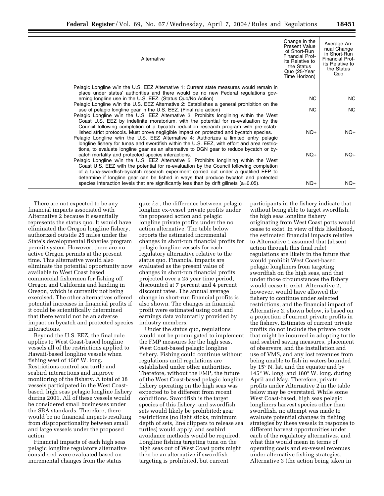| Alternative                                                                                                                                                                            | Change in the<br><b>Present Value</b><br>of Short-Run<br><b>Financial Prof-</b><br>its Relative to<br>the Status<br>Quo (25-Year<br>Time Horizon) | Average An-<br>nual Change<br>in Short-Run<br>Financial Prof-<br>its Relative to<br>the Status<br>Quo |
|----------------------------------------------------------------------------------------------------------------------------------------------------------------------------------------|---------------------------------------------------------------------------------------------------------------------------------------------------|-------------------------------------------------------------------------------------------------------|
| Pelagic Longline w/in the U.S. EEZ Alternative 1: Current state measures would remain in<br>place under states' authorities and there would be no new Federal regulations gov-         |                                                                                                                                                   |                                                                                                       |
| erning longline use in the U.S. EEZ. (Status Quo/No Action)                                                                                                                            | NC.                                                                                                                                               | NC.                                                                                                   |
| Pelagic Longline w/in the U.S. EEZ Alternative 2: Establishes a general prohibition on the                                                                                             | NC.                                                                                                                                               | <b>NC</b>                                                                                             |
| use of pelagic longline gear in the U.S. EEZ. (Final rule action)<br>Pelagic Longline w/in the U.S. EEZ Alternative 3: Prohibits longlining within the West                            |                                                                                                                                                   |                                                                                                       |
| Coast U.S. EEZ by indefinite moratorium, with the potential for re-evaluation by the                                                                                                   |                                                                                                                                                   |                                                                                                       |
| Council following completion of a bycatch reduction research program with pre-estab-<br>lished strict protocols. Must prove negligible impact on protected and bycatch species.        | $NQ+$                                                                                                                                             | $NQ+$                                                                                                 |
| Pelagic Longline w/in the U.S. EEZ Alternative 4: Authorizes a limited entry pelagic                                                                                                   |                                                                                                                                                   |                                                                                                       |
| longline fishery for tunas and swordfish within the U.S. EEZ, with effort and area restric-<br>tions, to evaluate longline gear as an alternative to DGN gear to reduce bycatch or by- |                                                                                                                                                   |                                                                                                       |
| catch mortality and protected species interactions.                                                                                                                                    | $NQ+$                                                                                                                                             | $NQ+$                                                                                                 |
| Pelagic Longline w/in the U.S. EEZ Alternative 5: Prohibits longlining within the West                                                                                                 |                                                                                                                                                   |                                                                                                       |
| Coast U.S. EEZ with the potential for re-evaluation by the Council following completion<br>of a tuna-swordfish-bycatch research experiment carried out under a qualified EFP to        |                                                                                                                                                   |                                                                                                       |
| determine if longline gear can be fished in ways that produce bycatch and protected                                                                                                    |                                                                                                                                                   |                                                                                                       |
| species interaction levels that are significantly less than by drift gillnets $(a=0.05)$ .                                                                                             | $NQ+$                                                                                                                                             | $NQ+$                                                                                                 |

There are not expected to be any financial impacts associated with Alternative 2 because it essentially represents the status quo. It would have eliminated the Oregon longline fishery, authorized outside 25 miles under the State's developmental fisheries program permit system. However, there are no active Oregon permits at the present time. This alternative would also eliminate the potential opportunity now available to West Coast based commercial fishermen for fishing off Oregon and California and landing in Oregon, which is currently not being exercised. The other alternatives offered potential increases in financial profits if it could be scientifically determined that there would not be an adverse impact on bycatch and protected species interactions.

Beyond the U.S. EEZ, the final rule applies to West Coast-based longline vessels all of the restrictions applied to Hawaii-based longline vessels when fishing west of 150° W. long. Restrictions control sea turtle and seabird interactions and improve monitoring of the fishery. A total of 38 vessels participated in the West Coastbased, high seas pelagic longline fishery during 2001. All of these vessels would be considered small businesses under the SBA standards. Therefore, there would be no financial impacts resulting from disproportionality between small and large vessels under the proposed action.

Financial impacts of each high seas pelagic longline regulatory alternative considered were evaluated based on incremental changes from the status

quo; *i.e.*, the difference between pelagic longline ex-vessel private profits under the proposed action and pelagic longline private profits under the no action alternative. The table below reports the estimated incremental changes in short-run financial profits for pelagic longline vessels for each regulatory alternative relative to the status quo. Financial impacts are evaluated as the present value of changes in short-run financial profits projected over a 25 year time period, discounted at 7 percent and 4 percent discount rates. The annual average change in short-run financial profits is also shown. The changes in financial profit were estimated using cost and earnings data voluntarily provided by industry members.

Under the status quo, regulations would not be promulgated to implement the FMP measures for the high seas, West Coast-based pelagic longline fishery. Fishing could continue without regulations until regulations are established under other authorities. Therefore, without the FMP, the future of the West Coast-based pelagic longline fishery operating on the high seas was expected to be different from recent conditions. Swordfish is the target species of this fishery, and swordfish sets would likely be prohibited; gear restrictions (no light sticks, minimum depth of sets, line clippers to release sea turtles) would apply; and seabird avoidance methods would be required. Longline fishing targeting tuna on the high seas out of West Coast ports might then be an alternative if swordfish targeting is prohibited, but current

participants in the fishery indicate that without being able to target swordfish, the high seas longline fishery originating from West Coast ports would cease to exist. In view of this likelihood, the estimated financial impacts relative to Alternative 1 assumed that (absent action through this final rule) regulations are likely in the future that would prohibit West Coast-based pelagic longliners from targeting swordfish on the high seas, and that under those circumstances the fishery would cease to exist. Alternative 2, however, would have allowed the fishery to continue under selected restrictions, and the financial impact of Alternative 2, shown below, is based on a projection of current private profits in the fishery. Estimates of current private profits do not include the private costs that might be incurred in adopting turtle and seabird saving measures, placement of observers, and the installation and use of VMS, and any lost revenues from being unable to fish in waters bounded by 15° N. lat. and the equator and by 145° W. long. and 180° W. long. during April and May. Therefore, private profits under Alternative 2 in the table below may be overstated. While some West Coast-based, high seas pelagic longliners harvest species other than swordfish, no attempt was made to evaluate potential changes in fishing strategies by these vessels in response to different harvest opportunities under each of the regulatory alternatives, and what this would mean in terms of operating costs and ex-vessel revenues under alternative fishing strategies. Alternative 3 (the action being taken in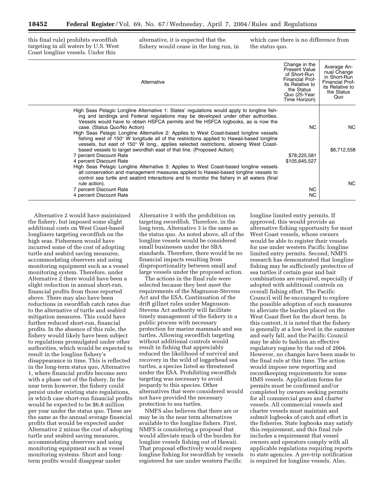this final rule) prohibits swordfish targeting in all waters by U.S. West Coast longline vessels. Under this

alternative, it is expected that the fishery would cease in the long run, in which case there is no difference from the status quo.

| Alternative                                                                                                                                                                                                                                                                                                                                                                                                                                                                                                                                                                                                                                                                                                                                                                                                       | Change in the<br><b>Present Value</b><br>of Short-Run<br>Financial Prof-<br>its Relative to<br>the Status<br>Quo (25-Year<br>Time Horizon) | Average An-<br>nual Change<br>in Short-Run<br><b>Financial Prof-</b><br>its Relative to<br>the Status<br>Quo |
|-------------------------------------------------------------------------------------------------------------------------------------------------------------------------------------------------------------------------------------------------------------------------------------------------------------------------------------------------------------------------------------------------------------------------------------------------------------------------------------------------------------------------------------------------------------------------------------------------------------------------------------------------------------------------------------------------------------------------------------------------------------------------------------------------------------------|--------------------------------------------------------------------------------------------------------------------------------------------|--------------------------------------------------------------------------------------------------------------|
| High Seas Pelagic Longline Alternative 1: States' regulations would apply to longline fish-<br>ing and landings and Federal regulations may be developed under other authorities.<br>Vessels would have to obtain HSFCA permits and file HSFCA logbooks, as is now the<br>case. (Status Quo/No Action)<br>High Seas Pelagic Longline Alternative 2: Applies to West Coast-based longline vessels<br>fishing west of 150° W longitude all of the restrictions applied to Hawaii-based longline<br>vessels, but east of 150° W long., applies selected restrictions, allowing West Coast-<br>based vessels to target swordfish east of that line. (Proposed Action)<br>7 percent Discount Rate<br>4 percent Discount Rate<br>High Seas Pelagic Longline Alternative 3: Applies to West Coast-based longline vessels | <b>NC</b><br>\$78,225,581<br>\$105,645,527                                                                                                 | NC.<br>\$6,712,558                                                                                           |
| all conservation and management measures applied to Hawaii-based longline vessels to<br>control sea turtle and seabird interactions and to monitor the fishery in all waters (final<br>rule action).<br>7 percent Discount Rate<br>4 percent Discount Rate                                                                                                                                                                                                                                                                                                                                                                                                                                                                                                                                                        | NC.<br>NC.                                                                                                                                 | <b>NC</b>                                                                                                    |

Alternative 2 would have maintained the fishery, but imposed some slight additional costs on West Coast-based longliners targeting swordfish on the high seas. Fishermen would have incurred some of the cost of adopting turtle and seabird saving measures, accommodating observers and using monitoring equipment such as a vessel monitoring system. Therefore, under Alternative 2 there would have been a slight reduction in annual short-run, financial profits from those reported above. There may also have been reductions in swordfish catch rates due to the alternative of turtle and seabird mitigation measures. This could have further reduced short-run, financial profits. In the absence of this rule, the fishery would likely have been subject to regulations promulgated under other authorities, which would be expected to result in the longline fishery's disappearance in time. This is reflected in the long-term status quo, Alternative 1, where financial profits become zero with a phase out of the fishery. In the near term however, the fishery could persist under existing state regulations, in which case short-run financial profits would be expected to be \$6.8 million per year under the status quo. These are the same as the annual average financial profits that would be expected under Alternative 2 minus the cost of adopting turtle and seabird saving measures, accommodating observers and using monitoring equipment such as vessel monitoring systems. Short and longterm profits would disappear under

Alternative 3 with the prohibition on targeting swordfish. Therefore, in the long term, Alternative 3 is the same as the status quo. As noted above, all of the longline vessels would be considered small businesses under the SBA standards. Therefore, there would be no financial impacts resulting from disproportionality between small and large vessels under the proposed action.

The actions in the final rule were selected because they best meet the requirements of the Magnuson-Stevens Act and the ESA. Continuation of the drift gillnet rules under Magnuson-Stevens Act authority will facilitate timely management of the fishery in a public process with necessary protection for marine mammals and sea turtles. Allowing swordfish targeting without additional controls would result in fishing that appreciably reduced the likelihood of survival and recovery in the wild of loggerhead sea turtles, a species listed as threatened under the ESA. Prohibiting swordfish targeting was necessary to avoid jeopardy to this species. Other alternatives that were considered would not have provided the necessary protection to sea turtles.

NMFS also believes that there are or may be in the near term alternatives available to the longline fishers. First, NMFS is considering a proposal that would alleviate much of the burden for longline vessels fishing out of Hawaii. That proposal effectively would reopen longline fishing for swordfish by vessels registered for use under western Pacific

longline limited entry permits. If approved, this would provide an alternative fishing opportunity for most West Coast vessels, whose owners would be able to register their vessels for use under western Pacific longline limited entry permits. Second, NMFS research has demonstrated that longline fishing may be sufficiently protective of sea turtles if certain gear and bait combinations are required, especially if adopted with additional controls on overall fishing effort. The Pacific Council will be encouraged to explore the possible adoption of such measures to alleviate the burden placed on the West Coast fleet for the short term. In this context, it is noted that the fishery is generally at a low level in the summer and early fall, and the Pacific Council may be able to fashion an effective regulatory regime by the end of 2004. However, no changes have been made to the final rule at this time. The action would impose new reporting and recordkeeping requirements for some HMS vessels. Application forms for permits must be confirmed and/or completed by owners seeking permits for all commercial gears and charter vessels. All commercial vessels and charter vessels must maintain and submit logbooks of catch and effort in the fisheries. State logbooks may satisfy this requirement, and this final rule includes a requirement that vessel owners and operators comply with all applicable regulations requiring reports to state agencies. A pre-trip notification is required for longline vessels. Also,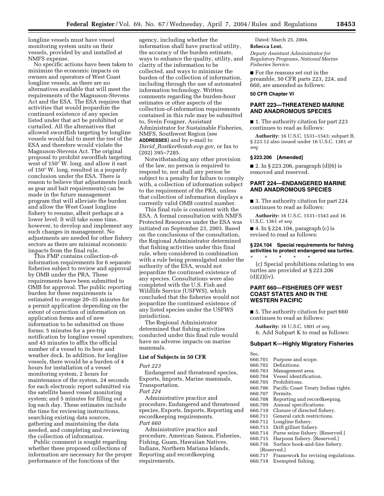longline vessels must have vessel monitoring system units on their vessels, provided by and installed at NMFS expense.

No specific actions have been taken to minimize the economic impacts on owners and operators of West Coast longline vessels, as there are no alternatives available that will meet the requirements of the Magnuson-Stevens Act and the ESA. The ESA requires that activities that would jeopardize the continued existence of any species listed under that act be prohibited or curtailed. All the alternatives that allowed swordfish targeting by longline vessels would fail to meet the test of the ESA and therefore would violate the Magnuson-Stevens Act. The original proposal to prohibit swordfish targeting west of 150° W. long. and allow it east of 150° W. long. resulted in a jeopardy conclusion under the ESA. There is reason to believe that adjustments (such as gear and bait requirements) can be made in the future management program that will alleviate the burden and allow the West Coast longline fishery to resume, albeit perhaps at a lower level. It will take some time, however, to develop and implement any such changes in management. No adjustments are needed for other fishery sectors as there are minimal economic impacts from the final rule.

This FMP contains collection-ofinformation requirements for 6 separate fisheries subject to review and approval by OMB under the PRA. These requirements have been submitted to OMB for approval. The public reporting burden for these requirements is estimated to average 20–35 minutes for a permit application depending on the extent of correction of information on application forms and of new information to be submitted on those forms; 5 minutes for a pre-trip notification by longline vessel operators; and 45 minutes to affix the official number of a vessel to its bow and weather deck. In addition, for longline vessels, there would be a burden of 4 hours for installation of a vessel monitoring system, 2 hours for maintenance of the system, 24 seconds for each electronic report submitted via the satellite based vessel monitoring system; and 5 minutes for filling out a log each day. These estimates include the time for reviewing instructions, searching existing data sources, gathering and maintaining the data needed, and completing and reviewing the collection of information.

Public comment is sought regarding whether these proposed collections of information are necessary for the proper performance of the functions of the

agency, including whether the information shall have practical utility, the accuracy of the burden estimate, ways to enhance the quality, utility, and clarity of the information to be collected, and ways to minimize the burden of the collection of information, including through the use of automated information technology. Written comments regarding the burden-hour estimates or other aspects of the collection-of-information requirements contained in this rule may be submitted to, Svein Fougner, Assistant Administrator for Sustainable Fisheries, NMFS, Southwest Region (see **ADDRESSES**) and by e-mail to *David*\_*Rostker@omb.eop.gov*, or fax to (202) 395–7285.

Notwithstanding any other provision of the law, no person is required to respond to, nor shall any person be subject to a penalty for failure to comply with, a collection of information subject to the requirement of the PRA, unless that collection of information displays a currently valid OMB control number.

This final rule is consistent with the ESA. A formal consultation with NMFS Protected Resources under the ESA was initiated on September 23, 2003. Based on the conclusions of the consultation, the Regional Administrator determined that fishing activities under this final rule, when considered in combination with a rule being promulgated under the authority of the ESA, would not jeopardize the continued existence of any species. Consultations were also completed with the U.S. Fish and Wildlife Service (USFWS), which concluded that the fisheries would not jeopardize the continued existence of any listed species under the USFWS jurisdiction.

The Regional Administrator determined that fishing activities conducted under this final rule would have no adverse impacts on marine mammals.

# **List of Subjects in 50 CFR**

#### *Part 223*

Endangered and threatened species, Exports, Imports, Marine mammals, Transportation.

*Part 224* 

Administrative practice and procedure, Endangered and threatened species, Exports, Imports, Reporting and recordkeeping requirements. *Part 660* 

Administrative practice and procedure, American Samoa, Fisheries, Fishing, Guam, Hawaiian Natives, Indians, Northern Mariana Islands, Reporting and recordkeeping requirements.

Dated: March 25, 2004.

# **Rebecca Lent,**

*Deputy Assistant Administrator for Regulatory Programs, National Marine Fisheries Service.* 

■ For the reasons set out in the preamble, 50 CFR parts 223, 224, and 660, are amended as follows:

# **50 CFR Chapter VI**

# **PART 223—THREATENED MARINE AND ANADROMOUS SPECIES**

■ 1. The authority citation for part 223 continues to read as follows:

**Authority:** 16 U.S.C. 1531–1543; subpart B, § 223.12 also issued under 16 U.S.C. 1361 *et seq.* 

# **§ 223.206 [Amended]**

■ 2. In § 223.206, paragraph  $(d)(6)$  is removed and reserved.

# **PART 224—ENDANGERED MARINE AND ANADROMOUS SPECIES**

■ 3. The authority citation for part 224 continues to read as follows:

**Authority:** 16 U.S.C. 1531–1543 and 16 U.S.C. 1361 *et seq.* 

■ 4. In § 224.104, paragraph (c) is revised to read as follows:

# **§ 224.104 Special requirements for fishing activities to protect endangered sea turtles.**

\* \* \* \* \* (c) Special prohibitions relating to sea turtles are provided at § 223.206  $(d)(2)(iv).$ 

# **PART 660—FISHERIES OFF WEST COAST STATES AND IN THE WESTERN PACIFIC**

■ 5. The authority citation for part 660 continues to read as follows:

**Authority:** 16 U.S.C. 1801 *et seq.*  6. Add Subpart K to read as follows:

# **Subpart K—Highly Migratory Fisheries**

- Sec.<br>660.701 660.701 Purpose and scope.
- 660.702 Definitions.<br>660.703 Managemen
- 660.703 Management area.
- 660.704 Vessel identification.
- 660.705 Prohibitions.<br>660.706 Pacific Coast
- 660.706 Pacific Coast Treaty Indian rights.
- 660.707 Permits.<br>660.708 Reportin
- 660.708 Reporting and recordkeeping.<br>660.709 Annual specifications.
- 660.709 Annual specifications.
- 660.710 Closure of directed fishery.<br>660.711 General catch restrictions.
- 660.711 General catch restrictions.<br>660.712 Longline fishery.
- 660.712 Longline fishery.<br>660.713 Drift gillnet fishe
	-
- 660.713 Drift gillnet fishery. 660.714 Purse seine fishery. [Reserved.]<br>660.715 Harpoon fishery. [Reserved.]
- 660.715 Harpoon fishery. [Reserved.]
- Surface hook-and-line fishery.
- [Reserved.]<br>660.717 Frame
	- Framework for revising regulations.
- 660.718 Exempted fishing.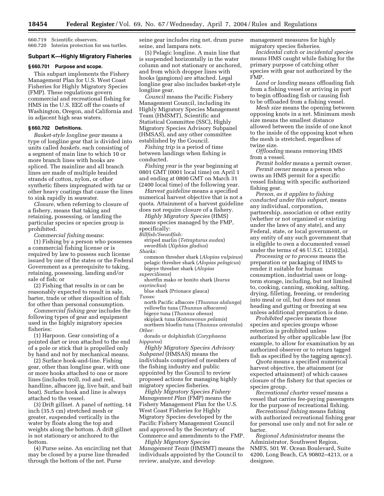660.719 Scientific observers. 660.720 Interim protection for sea turtles.

#### **Subpart K—Highly Migratory Fisheries**

#### **§ 660.701 Purpose and scope.**

This subpart implements the Fishery Management Plan for U.S. West Coast Fisheries for Highly Migratory Species (FMP). These regulations govern commercial and recreational fishing for HMS in the U.S. EEZ off the coasts of Washington, Oregon, and California and in adjacent high seas waters.

# **§ 660.702 Definitions.**

*Basket-style longline gear* means a type of longline gear that is divided into units called *baskets*, each consisting of a segment of main line to which 10 or more branch lines with hooks are spliced. The mainline and all branch lines are made of multiple braided strands of cotton, nylon, or other synthetic fibers impregnated with tar or other heavy coatings that cause the lines to sink rapidly in seawater.

*Closure*, when referring to closure of a fishery, means that taking and retaining, possessing, or landing the particular species or species group is prohibited.

*Commercial fishing* means:

(1) Fishing by a person who possesses a commercial fishing license or is required by law to possess such license issued by one of the states or the Federal Government as a prerequisite to taking, retaining, possessing, landing and/or sale of fish; or

(2) Fishing that results in or can be reasonably expected to result in sale, barter, trade or other disposition of fish for other than personal consumption.

*Commercial fishing gear* includes the following types of gear and equipment used in the highly migratory species fisheries:

(1) Harpoon. Gear consisting of a pointed dart or iron attached to the end of a pole or stick that is propelled only by hand and not by mechanical means.

(2) Surface hook-and-line. Fishing gear, other than longline gear, with one or more hooks attached to one or more lines (includes troll, rod and reel, handline, albacore jig, live bait, and bait boat). Surface hook and line is always attached to the vessel.

(3) Drift gillnet. A panel of netting, 14 inch (35.5 cm) stretched mesh or greater, suspended vertically in the water by floats along the top and weights along the bottom. A drift gillnet is not stationary or anchored to the bottom.

(4) Purse seine. An encircling net that may be closed by a purse line threaded through the bottom of the net. Purse

seine gear includes ring net, drum purse seine, and lampara nets.

(5) Pelagic longline. A main line that is suspended horizontally in the water column and not stationary or anchored, and from which dropper lines with hooks (gangions) are attached. Legal longline gear also includes basket-style longline gear.

*Council* means the Pacific Fishery Management Council, including its Highly Migratory Species Management Team (HMSMT), Scientific and Statistical Committee (SSC), Highly Migratory Species Advisory Subpanel (HMSAS), and any other committee established by the Council.

*Fishing trip* is a period of time between landings when fishing is conducted.

*Fishing year* is the year beginning at 0801 GMT (0001 local time) on April 1 and ending at 0800 GMT on March 31 (2400 local time) of the following year.

*Harvest guideline* means a specified numerical harvest objective that is not a quota. Attainment of a harvest guideline does not require closure of a fishery.

*Highly Migratory Species* (HMS) means species managed by the FMP, specifically:

*Billfish/Swordfish:* 

striped marlin (*Tetrapturus audax*) swordfish (*Xiphias gladius*)

*Sharks:* 

common thresher shark (*Alopias vulpinus*) pelagic thresher shark (*Alopias pelagicus*) bigeye thresher shark (*Alopias* 

*superciliosus*)

shortfin mako or bonito shark (*Isurus oxyrinchus*)

blue shark (Prionace glauca)

*Tunas:* 

north Pacific albacore (*Thunnus alalunga*) yellowfin tuna (*Thunnus albacares*) bigeye tuna (*Thunnus obesus*) skipjack tuna (*Katsuwonus pelamis*) northern bluefin tuna (*Thunnus orientalis*)

*Other:* 

dorado or dolphinfish (*Coryphaena hippurus*)

*Highly Migratory Species Advisory Subpanel* (HMSAS) means the individuals comprised of members of the fishing industry and public appointed by the Council to review proposed actions for managing highly migratory species fisheries.

*Highly Migratory Species Fishery Management Plan* (FMP) means the Fishery Management Plan for the U.S. West Coast Fisheries for Highly Migratory Species developed by the Pacific Fishery Management Council and approved by the Secretary of Commerce and amendments to the FMP.

*Highly Migratory Species Management Team* (HMSMT) means the individuals appointed by the Council to review, analyze, and develop

management measures for highly migratory species fisheries.

*Incidental catch or incidental species*  means HMS caught while fishing for the primary purpose of catching other species with gear not authorized by the FMP.

*Land or landing* means offloading fish from a fishing vessel or arriving in port to begin offloading fish or causing fish to be offloaded from a fishing vessel.

*Mesh size* means the opening between opposing knots in a net. Minimum mesh size means the smallest distance allowed between the inside of one knot to the inside of the opposing knot when the mesh is stretched, regardless of twine size.

*Offloading* means removing HMS from a vessel.

*Permit holder* means a permit owner. *Permit owner* means a person who owns an HMS permit for a specific vessel fishing with specific authorized fishing gear.

*Person, as it applies to fishing conducted under this subpart,* means any individual, corporation, partnership, association or other entity (whether or not organized or existing under the laws of any state), and any Federal, state, or local government, or any entity of any such government that is eligible to own a documented vessel under the terms of 46 U.S.C. 12102(a).

*Processing or to process* means the preparation or packaging of HMS to render it suitable for human consumption, industrial uses or longterm storage, including, but not limited to, cooking, canning, smoking, salting, drying, filleting, freezing, or rendering into meal or oil, but does not mean heading and gutting or freezing at sea unless additional preparation is done.

*Prohibited species* means those species and species groups whose retention is prohibited unless authorized by other applicable law (for example, to allow for examination by an authorized observer or to return tagged fish as specified by the tagging agency).

*Quota* means a specified numerical harvest objective, the attainment (or expected attainment) of which causes closure of the fishery for that species or species group.

*Recreational charter vessel* means a vessel that carries fee-paying passengers for the purpose of recreational fishing.

*Recreational fishing* means fishing with authorized recreational fishing gear for personal use only and not for sale or barter.

*Regional Administrator* means the Administrator, Southwest Region, NMFS, 501 W. Ocean Boulevard, Suite 4200, Long Beach, CA 90802–4213, or a designee.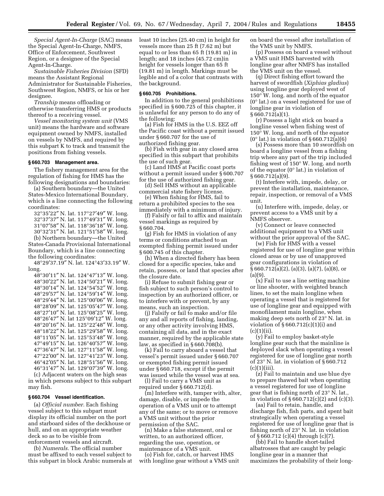*Special Agent-In-Charge* (SAC) means the Special Agent-In-Charge, NMFS, Office of Enforcement, Southwest Region, or a designee of the Special Agent-In-Charge.

*Sustainable Fisheries Division* (SFD) means the Assistant Regional Administrator for Sustainable Fisheries, Southwest Region, NMFS, or his or her designee.

*Tranship* means offloading or otherwise transferring HMS or products thereof to a receiving vessel.

*Vessel monitoring system unit* (VMS unit) means the hardware and software equipment owned by NMFS, installed on vessels by NMFS, and required by this subpart K to track and transmit the positions from fishing vessels.

#### **§ 660.703 Management area.**

The fishery management area for the regulation of fishing for HMS has the following designations and boundaries:

(a) Southern boundary—the United States-Mexico International Boundary, which is a line connecting the following coordinates:

°35′22″ N. lat. 117°27′49″ W. long. °37′37″ N. lat. 117°49′31″ W. long. °07′58″ N. lat. 118°36′18″ W. long. °32′31″ N. lat. 121°51′58″ W. long. (b) Northern boundary—the United

States-Canada Provisional International Boundary, which is a line connecting the following coordinates:

48°29′37.19″ N. lat. 124°43′33.19″ W. long.

°30′11″ N. lat. 124°47′13″ W. long. °30′22″ N. lat. 124°50′21″ W. long. °30′14″ N. lat. 124°54′52″ W. long. °29′57″ N. lat. 124°59′14″ W. long. °29′44″ N. lat. 125°00′06″ W. long. °28′09″ N. lat. 125°05′47″ W. long. °27′10″ N. lat. 125°08′25″ W. long. °26′47″ N. lat 125°09′12″ W. long. °20′16″ N. lat. 125°22′48″ W. long. °18′22″ N. lat. 125°29′58″ W. long. °11′05″ N. lat. 125°53′48″ W. long. °49′15″ N. lat. 126°40′57″ W. long. °36′47″ N. lat. 127°11′58″ W. long. °22′00″ N. lat. 127°41′23″ W. long. °42′05″ N. lat. 128°51′56″ W. long. °31′47″ N. lat. 129°07′39″ W. long.

(c) Adjacent waters on the high seas in which persons subject to this subpart may fish.

#### **§ 660.704 Vessel identification.**

(a) *Official number.* Each fishing vessel subject to this subpart must display its official number on the port and starboard sides of the deckhouse or hull, and on an appropriate weather deck so as to be visible from enforcement vessels and aircraft.

(b) *Numerals.* The official number must be affixed to each vessel subject to this subpart in block Arabic numerals at least 10 inches (25.40 cm) in height for vessels more than 25 ft (7.62 m) but equal to or less than 65 ft (19.81 m) in length; and 18 inches (45.72 cm)in height for vessels longer than 65 ft (19.81 m) in length. Markings must be legible and of a color that contrasts with the background.

#### **§ 660.705 Prohibitions.**

In addition to the general prohibitions specified in § 600.725 of this chapter, it is unlawful for any person to do any of the following:

(a) Fish for HMS in the U.S. EEZ off the Pacific coast without a permit issued under § 660.707 for the use of authorized fishing gear.

(b) Fish with gear in any closed area specified in this subpart that prohibits the use of such gear.

(c) Land HMS at Pacific coast ports without a permit issued under § 600.707 for the use of authorized fishing gear.

(d) Sell HMS without an applicable commercial state fishery license.

(e) When fishing for HMS, fail to return a prohibited species to the sea immediately with a minimum of injury.

(f) Falsify or fail to affix and maintain vessel markings as required by § 660.704.

(g) Fish for HMS in violation of any terms or conditions attached to an exempted fishing permit issued under § 600.745 of this chapter.

(h) When a directed fishery has been closed for a specific species, take and retain, possess, or land that species after the closure date.

(i) Refuse to submit fishing gear or fish subject to such person's control to inspection by an authorized officer, or to interfere with or prevent, by any means, such an inspection.

(j) Falsify or fail to make and/or file any and all reports of fishing, landing, or any other activity involving HMS, containing all data, and in the exact manner, required by the applicable state law, as specified in § 660.708(b).

(k) Fail to carry aboard a vessel that vessel's permit issued under § 660.707 or exempted fishing permit issued under § 660.718, except if the permit was issued while the vessel was at sea.

(l) Fail to carry a VMS unit as required under § 660.712(d).

(m) Interfere with, tamper with, alter, damage, disable, or impede the operation of a VMS unit or to attempt any of the same; or to move or remove a VMS unit without the prior permission of the SAC.

(n) Make a false statement, oral or written, to an authorized officer, regarding the use, operation, or maintenance of a VMS unit.

(o) Fish for, catch, or harvest HMS with longline gear without a VMS unit on board the vessel after installation of the VMS unit by NMFS.

(p) Possess on board a vessel without a VMS unit HMS harvested with longline gear after NMFS has installed the VMS unit on the vessel.

(q) Direct fishing effort toward the harvest of swordfish (*Xiphias gladius*) using longline gear deployed west of 150° W. long. and north of the equator (0° lat.) on a vessel registered for use of longline gear in violation of § 660.712(a)(1).

(r) Possess a light stick on board a longline vessel when fishing west of 150° W. long. and north of the equator  $(0^{\circ})$  lat.) in violation of § 660.712(a)(6)

(s) Possess more than 10 swordfish on board a longline vessel from a fishing trip where any part of the trip included fishing west of 150° W. long. and north of the equator (0° lat.) in violation of § 660.712(a)(9).

(t) Interfere with, impede, delay, or prevent the installation, maintenance, repair, inspection, or removal of a VMS unit.

(u) Interfere with, impede, delay, or prevent access to a VMS unit by a NMFS observer.

(v) Connect or leave connected additional equipment to a VMS unit without the prior approval of the SAC.

(w) Fish for HMS with a vessel registered for use of longline gear within closed areas or by use of unapproved gear configurations in violation of § 660.712(a)(2), (a)(3), (a)(7), (a)(8), or (a)(9).

(x) Fail to use a line setting machine or line shooter, with weighted branch lines, to set the main longline when operating a vessel that is registered for use of longline gear and equipped with monofilament main longline, when making deep sets north of 23° N. lat. in violation of § 660.712(c)(1)(i) and  $(c)(1)(ii)$ .

(y) Fail to employ basket-style longline gear such that the mainline is deployed slack when operating a vessel registered for use of longline gear north of 23° N. lat. in violation of § 660.712  $(c)(1)(iii)$ .

(z) Fail to maintain and use blue dye to prepare thawed bait when operating a vessel registered for use of longline gear that is fishing north of 23° N. lat., in violation of § 660.712(c)(2) and (c)(3).

(aa) Fail to retain, handle, and discharge fish, fish parts, and spent bait strategically when operating a vessel registered for use of longline gear that is fishing north of 23° N. lat. in violation of § 660.712 (c)(4) through (c)(7).

(bb) Fail to handle short-tailed albatrosses that are caught by pelagic longline gear in a manner that maximizes the probability of their long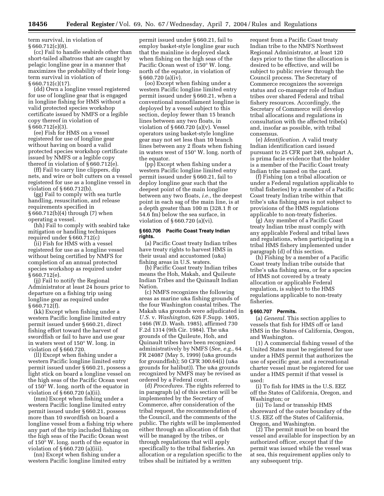term survival, in violation of § 660.712(c)(8).

(cc) Fail to handle seabirds other than short-tailed albatross that are caught by pelagic longline gear in a manner that maximizes the probability of their longterm survival in violation of  $§ 660.712(c)(17).$ 

(dd) Own a longline vessel registered for use of longline gear that is engaged in longline fishing for HMS without a valid protected species workshop certificate issued by NMFS or a legible copy thereof in violation of § 660.712(e)(3).

(ee) Fish for HMS on a vessel registered for use of longline gear without having on board a valid protected species workshop certificate issued by NMFS or a legible copy thereof in violation of § 660.712(e).

(ff) Fail to carry line clippers, dip nets, and wire or bolt cutters on a vessel registered for use as a longline vessel in violation of § 660.712(b).

(gg) Fail to comply with sea turtle handling, resuscitation, and release requirements specified in § 660.712(b)(4) through (7) when operating a vessel.

(hh) Fail to comply with seabird take mitigation or handling techniques required under § 660.712(c)

(ii) Fish for HMS with a vessel registered for use as a longline vessel without being certified by NMFS for completion of an annual protected species workshop as required under § 660.712(e).

(jj) Fail to notify the Regional Administrator at least 24 hours prior to departure on a fishing trip using longline gear as required under § 660.712(f).

(kk) Except when fishing under a western Pacific longline limited entry permit issued under § 660.21, direct fishing effort toward the harvest of swordfish or fail to have and use gear in waters west of 150° W. long. in violation of § 660.720.

(ll) Except when fishing under a western Pacific longline limited entry permit issued under § 660.21, possess a light stick on board a longline vessel on the high seas of the Pacific Ocean west of 150° W. long. north of the equator in violation of § 660.720 (a)(ii).

(mm) Except when fishing under a western Pacific longline limited entry permit issued under § 660.21, possess more than 10 swordfish on board a longline vessel from a fishing trip where any part of the trip included fishing on the high seas of the Pacific Ocean west of 150° W. long. north of the equator in violation of § 660.720 (a)(iii).

(nn) Except when fishing under a western Pacific longline limited entry

permit issued under § 660.21, fail to employ basket-style longline gear such that the mainline is deployed slack when fishing on the high seas of the Pacific Ocean west of 150° W. long. north of the equator, in violation of § 660.720 (a)(iv).

(oo) Except when fishing under a western Pacific longline limited entry permit issued under § 660.21, when a conventional monofilament longline is deployed by a vessel subject to this section, deploy fewer than 15 branch lines between any two floats, in violation of § 660.720 (a)(v). Vessel operators using basket-style longline gear may not set less than 10 branch lines between any 2 floats when fishing in waters west of 150° W. long. north of the equator.

(pp) Except when fishing under a western Pacific longline limited entry permit issued under § 660.21, fail to deploy longline gear such that the deepest point of the main longline between any two floats, *i.e.*, the deepest point in each sag of the main line, is at a depth greater than 100 m (328.1 ft or 54.6 fm) below the sea surface, in violation of § 660.720 (a)(vi).

# **§ 660.706 Pacific Coast Treaty Indian rights.**

(a) Pacific Coast treaty Indian tribes have treaty rights to harvest HMS in their usual and accustomed (u&a) fishing areas in U.S. waters.

(b) Pacific Coast treaty Indian tribes means the Hoh, Makah, and Quileute Indian Tribes and the Quinault Indian Nation.

(c) NMFS recognizes the following areas as marine u&a fishing grounds of the four Washington coastal tribes. The Makah u&a grounds were adjudicated in *U.S.* v. *Washington*, 626 F.Supp. 1405, 1466 (W.D. Wash. 1985), affirmed 730 F.2d 1314 (9th Cir. 1984). The u&a grounds of the Quileute, Hoh, and Quinault tribes have been recognized administratively by NMFS (*See, e.g.*, 64 FR 24087 (May 5, 1999) (u&a grounds for groundfish); 50 CFR 300.64(i) (u&a grounds for halibut)). The u&a grounds recognized by NMFS may be revised as ordered by a Federal court.

(d) *Procedures.* The rights referred to in paragraph (a) of this section will be implemented by the Secretary of Commerce, after consideration of the tribal request, the recommendation of the Council, and the comments of the public. The rights will be implemented either through an allocation of fish that will be managed by the tribes, or through regulations that will apply specifically to the tribal fisheries. An allocation or a regulation specific to the tribes shall be initiated by a written

request from a Pacific Coast treaty Indian tribe to the NMFS Northwest Regional Administrator, at least 120 days prior to the time the allocation is desired to be effective, and will be subject to public review through the Council process. The Secretary of Commerce recognizes the sovereign status and co-manager role of Indian tribes over shared Federal and tribal fishery resources. Accordingly, the Secretary of Commerce will develop tribal allocations and regulations in consultation with the affected tribe(s) and, insofar as possible, with tribal consensus.

(e) *Identification.* A valid treaty Indian identification card issued pursuant to 25 CFR part 249, subpart A, is prima facie evidence that the holder is a member of the Pacific Coast treaty Indian tribe named on the card.

(f) Fishing (on a tribal allocation or under a Federal regulation applicable to tribal fisheries) by a member of a Pacific Coast treaty Indian tribe within that tribe's u&a fishing area is not subject to provisions of the HMS regulations applicable to non-treaty fisheries.

(g) Any member of a Pacific Coast treaty Indian tribe must comply with any applicable Federal and tribal laws and regulations, when participating in a tribal HMS fishery implemented under paragraph (d) of this section.

(h) Fishing by a member of a Pacific Coast treaty Indian tribe outside that tribe's u&a fishing area, or for a species of HMS not covered by a treaty allocation or applicable Federal regulation, is subject to the HMS regulations applicable to non-treaty fisheries.

#### **§ 660.707 Permits.**

(a) *General.* This section applies to vessels that fish for HMS off or land HMS in the States of California, Oregon, and Washington.

(1) A commercial fishing vessel of the United States must be registered for use under a HMS permit that authorizes the use of specific gear, and a recreational charter vessel must be registered for use under a HMS permit if that vessel is used:

(i) To fish for HMS in the U.S. EEZ off the States of California, Oregon, and Washington; or

(ii) To land or transship HMS shoreward of the outer boundary of the U.S. EEZ off the States of California, Oregon, and Washington.

(2) The permit must be on board the vessel and available for inspection by an authorized officer, except that if the permit was issued while the vessel was at sea, this requirement applies only to any subsequent trip.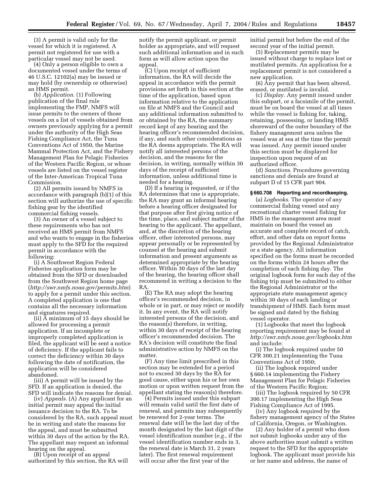(3) A permit is valid only for the vessel for which it is registered. A permit not registered for use with a particular vessel may not be used.

(4) Only a person eligible to own a documented vessel under the terms of 46 U.S.C. 12102(a) may be issued or may hold (by ownership or otherwise) an HMS permit.

(b) *Application.* (1) Following publication of the final rule implementing the FMP, NMFS will issue permits to the owners of those vessels on a list of vessels obtained from owners previously applying for a permit under the authority of the High Seas Fishing Compliance Act, the Tuna Conventions Act of 1950, the Marine Mammal Protection Act, and the Fishery Management Plan for Pelagic Fisheries of the Western Pacific Region, or whose vessels are listed on the vessel register of the Inter-American Tropical Tuna Commission.

(2) All permits issued by NMFS in accordance with paragraph (b)(1) of this section will authorize the use of specific fishing gear by the identified commercial fishing vessels.

(3) An owner of a vessel subject to these requirements who has not received an HMS permit from NMFS and who wants to engage in the fisheries must apply to the SFD for the required permit in accordance with the following:

(i) A Southwest Region Federal Fisheries application form may be obtained from the SFD or downloaded from the Southwest Region home page (*http://swr.nmfs.noaa.gov/permits.htm*) to apply for a permit under this section. A completed application is one that contains all the necessary information and signatures required.

(ii) A minimum of 15 days should be allowed for processing a permit application. If an incomplete or improperly completed application is filed, the applicant will be sent a notice of deficiency. If the applicant fails to correct the deficiency within 30 days following the date of notification, the application will be considered abandoned.

(iii) A permit will be issued by the SFD. If an application is denied, the SFD will indicate the reasons for denial.

(iv) *Appeals.* (A) Any applicant for an initial permit may appeal the initial issuance decision to the RA. To be considered by the RA, such appeal must be in writing and state the reasons for the appeal, and must be submitted within 30 days of the action by the RA. The appellant may request an informal hearing on the appeal.

(B) Upon receipt of an appeal authorized by this section, the RA will notify the permit applicant, or permit holder as appropriate, and will request such additional information and in such form as will allow action upon the appeal.

(C) Upon receipt of sufficient information, the RA will decide the appeal in accordance with the permit provisions set forth in this section at the time of the application, based upon information relative to the application on file at NMFS and the Council and any additional information submitted to or obtained by the RA, the summary record kept of any hearing and the hearing officer's recommended decision, if any, and such other considerations as the RA deems appropriate. The RA will notify all interested persons of the decision, and the reasons for the decision, in writing, normally within 30 days of the receipt of sufficient information, unless additional time is needed for a hearing.

(D) If a hearing is requested, or if the RA determines that one is appropriate, the RA may grant an informal hearing before a hearing officer designated for that purpose after first giving notice of the time, place, and subject matter of the hearing to the applicant. The appellant, and, at the discretion of the hearing officer, other interested persons, may appear personally or be represented by counsel at the hearing and submit information and present arguments as determined appropriate by the hearing officer. Within 30 days of the last day of the hearing, the hearing officer shall recommend in writing a decision to the RA.

(E) The RA may adopt the hearing officer's recommended decision, in whole or in part, or may reject or modify it. In any event, the RA will notify interested persons of the decision, and the reason(s) therefore, in writing, within 30 days of receipt of the hearing officer's recommended decision. The RA's decision will constitute the final administrative action by NMFS on the matter.

(F) Any time limit prescribed in this section may be extended for a period not to exceed 30 days by the RA for good cause, either upon his or her own motion or upon written request from the appellant stating the reason(s) therefore.

(4) Permits issued under this subpart will remain valid until the first date of renewal, and permits may subsequently be renewed for 2-year terms. The renewal date will be the last day of the month designated by the last digit of the vessel identification number (*e.g.*, if the vessel identification number ends in 3, the renewal date is March 31, 2 years later). The first renewal requirement will occur after the first year of the

initial permit but before the end of the second year of the initial permit.

(5) Replacement permits may be issued without charge to replace lost or mutilated permits. An application for a replacement permit is not considered a new application.

(6) Any permit that has been altered, erased, or mutilated is invalid.

(c) *Display.* Any permit issued under this subpart, or a facsimile of the permit, must be on board the vessel at all times while the vessel is fishing for, taking, retaining, possessing, or landing HMS shoreward of the outer boundary of the fishery management area unless the vessel was at sea at the time the permit was issued. Any permit issued under this section must be displayed for inspection upon request of an authorized officer.

(d) *Sanctions.* Procedures governing sanctions and denials are found at subpart D of 15 CFR part 904.

#### **§ 660.708 Reporting and recordkeeping.**

(a) *Logbooks.* The operator of any commercial fishing vessel and any recreational charter vessel fishing for HMS in the management area must maintain on board the vessel an accurate and complete record of catch, effort, and other data on report forms provided by the Regional Administrator or a state agency. All information specified on the forms must be recorded on the forms within 24 hours after the completion of each fishing day. The original logbook form for each day of the fishing trip must be submitted to either the Regional Administrator or the appropriate state management agency within 30 days of each landing or transhipment of HMS. Each form must be signed and dated by the fishing vessel operator.

(1) Logbooks that meet the logbook reporting requirement may be found at *http://swr.nmfs.noaa.gov/logbooks.htm*  and include:

(i) The logbook required under 50 CFR 300.21 implementing the Tuna Conventions Act of 1950;

(ii) The logbook required under § 660.14 implementing the Fishery Management Plan for Pelagic Fisheries of the Western Pacific Region;

(iii) The logbook required by 50 CFR 300.17 implementing the High Seas Fishing Compliance Act of 1995.

(iv) Any logbook required by the fishery management agency of the States of California, Oregon, or Washington.

(2) Any holder of a permit who does not submit logbooks under any of the above authorities must submit a written request to the SFD for the appropriate logbook. The applicant must provide his or her name and address, the name of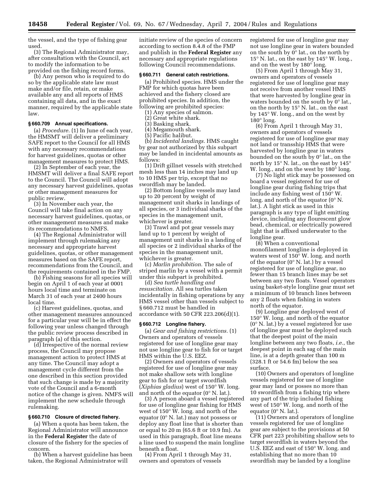the vessel, and the type of fishing gear used.

(3) The Regional Administrator may, after consultation with the Council, act to modify the information to be provided on the fishing record forms.

(b) Any person who is required to do so by the applicable state law must make and/or file, retain, or make available any and all reports of HMS containing all data, and in the exact manner, required by the applicable state law.

## **§ 660.709 Annual specifications.**

(a) *Procedure.* (1) In June of each year, the HMSMT will deliver a preliminary SAFE report to the Council for all HMS with any necessary recommendations for harvest guidelines, quotas or other management measures to protect HMS.

(2) In September of each year, the HMSMT will deliver a final SAFE report to the Council. The Council will adopt any necessary harvest guidelines, quotas or other management measures for public review.

(3) In November each year, the Council will take final action on any necessary harvest guidelines, quotas, or other management measures and make its recommendations to NMFS.

(4) The Regional Administrator will implement through rulemaking any necessary and appropriate harvest guidelines, quotas, or other management measures based on the SAFE report, recommendations from the Council, and the requirements contained in the FMP.

(b) Fishing seasons for all species will begin on April 1 of each year at 0001 hours local time and terminate on March 31 of each year at 2400 hours local time.

(c) Harvest guidelines, quotas, and other management measures announced for a particular year will be in effect the following year unless changed through the public review process described in paragraph (a) of this section.

(d) Irrespective of the normal review process, the Council may propose management action to protect HMS at any time. The Council may adopt a management cycle different from the one described in this section provided that such change is made by a majority vote of the Council and a 6-month notice of the change is given. NMFS will implement the new schedule through rulemaking.

## **§ 660.710 Closure of directed fishery.**

(a) When a quota has been taken, the Regional Administrator will announce in the **Federal Register** the date of closure of the fishery for the species of concern.

(b) When a harvest guideline has been taken, the Regional Administrator will

initiate review of the species of concern according to section 8.4.8 of the FMP and publish in the **Federal Register** any necessary and appropriate regulations following Council recommendations.

#### **§ 660.711 General catch restrictions.**

(a) Prohibited species. HMS under the FMP for which quotas have been achieved and the fishery closed are prohibited species. In addition, the following are prohibited species:

(1) Any species of salmon.

- (2) Great white shark.
- (3) Basking shark.
- (4) Megamouth shark.
- (5) Pacific halibut.

(b) *Incidental landings.* HMS caught by gear not authorized by this subpart may be landed in incidental amounts as follows:

(1) Drift gillnet vessels with stretched mesh less than 14 inches may land up to 10 HMS per trip, except that no swordfish may be landed.

(2) Bottom longline vessels may land up to 20 percent by weight of management unit sharks in landings of all species, or 3 individual sharks of the species in the management unit, whichever is greater.

(3) Trawl and pot gear vessels may land up to 1 percent by weight of management unit sharks in a landing of all species or 2 individual sharks of the species in the management unit, whichever is greater.

(c) *Marlin prohibition.* The sale of striped marlin by a vessel with a permit under this subpart is prohibited.

(d) *Sea turtle handling and resuscitation.* All sea turtles taken incidentally in fishing operations by any HMS vessel other than vessels subject to § 660.712 must be handled in accordance with 50 CFR 223.206(d)(1).

## **§ 660.712 Longline fishery.**

(a) *Gear and fishing restrictions.* (1) Owners and operators of vessels registered for use of longline gear may not use longline gear to fish for or target HMS within the U.S. EEZ.

(2) Owners and operators of vessels registered for use of longline gear may not make shallow sets with longline gear to fish for or target swordfish (*Xiphias gladius*) west of 150° W. long. and north of the equator  $(0^{\circ} N. 1$ at.).

(3) A person aboard a vessel registered for use of longline gear fishing for HMS west of 150° W. long. and north of the equator (0° N. lat.) may not possess or deploy any float line that is shorter than or equal to 20 m (65.6 ft or 10.9 fm). As used in this paragraph, float line means a line used to suspend the main longline beneath a float.

(4) From April 1 through May 31, owners and operators of vessels

registered for use of longline gear may not use longline gear in waters bounded on the south by 0° lat., on the north by 15° N. lat., on the east by 145° W. long., and on the west by 180° long.

(5) From April 1 through May 31, owners and operators of vessels registered for use of longline gear may not receive from another vessel HMS that were harvested by longline gear in waters bounded on the south by 0° lat., on the north by 15° N. lat., on the east by 145° W. long., and on the west by  $180^\circ$  long.

(6) From April 1 through May 31, owners and operators of vessels registered for use of longline gear may not land or transship HMS that were harvested by longline gear in waters bounded on the south by 0° lat., on the north by 15° N. lat., on the east by 145° W. long., and on the west by 180<sup>°</sup> long.

(7) No light stick may be possessed on board a vessel registered for use of longline gear during fishing trips that include any fishing west of 150° W. long. and north of the equator (0° N. lat.). A light stick as used in this paragraph is any type of light emitting device, including any flourescent glow bead, chemical, or electrically powered light that is affixed underwater to the longline gear.

(8) When a conventional monofilament longline is deployed in waters west of 150° W. long. and north of the equator  $(0^{\circ} N. 1$ at.) by a vessel registered for use of longline gear, no fewer than 15 branch lines may be set between any two floats. Vessel operators using basket-style longline gear must set a minimum of 10 branch lines between any 2 floats when fishing in waters north of the equator.

(9) Longline gear deployed west of 150° W. long. and north of the equator (0° N. lat.) by a vessel registered for use of longline gear must be deployed such that the deepest point of the main longline between any two floats, *i.e.*, the deepest point in each sag of the main line, is at a depth greater than 100 m (328.1 ft or 54.6 fm) below the sea surface.

(10) Owners and operators of longline vessels registered for use of longline gear may land or posses no more than 10 swordfish from a fishing trip where any part of the trip included fishing west of 150° W. long. and north of the equator (0° N. lat.).

(11) Owners and operators of longline vessels registered for use of longline gear are subject to the provisions at 50 CFR part 223 prohibiting shallow sets to target swordfish in waters beyond the U.S. EEZ and east of 150° W. long. and establishing that no more than 10 swordfish may be landed by a longline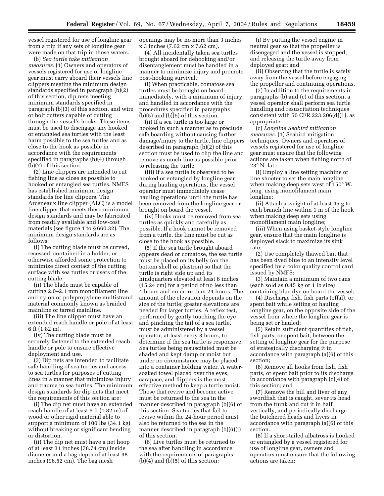vessel registered for use of longline gear from a trip if any sets of longline gear were made on that trip in those waters.

(b) *Sea turtle take mitigation measures.* (1) Owners and operators of vessels registered for use of longline gear must carry aboard their vessels line clippers meeting the minimum design standards specified in paragraph (b)(2) of this section, dip nets meeting minimum standards specified in paragraph (b)(3) of this section, and wire or bolt cutters capable of cutting through the vessel's hooks. These items must be used to disengage any hooked or entangled sea turtles with the least harm possible to the sea turtles and as close to the hook as possible in accordance with the requirements specified in paragraphs (b)(4) through (b)(7) of this section.

(2) Line clippers are intended to cut fishing line as close as possible to hooked or entangled sea turtles. NMFS has established minimum design standards for line clippers. The Arceneaux line clipper (ALC) is a model line clipper that meets these minimum design standards and may be fabricated from readily available and low-cost materials (see figure 1 to § 660.32). The minimum design standards are as follows:

(i) The cutting blade must be curved, recessed, contained in a holder, or otherwise afforded some protection to minimize direct contact of the cutting surface with sea turtles or users of the cutting blade.

(ii) The blade must be capable of cutting 2.0–2.1 mm monofilament line and nylon or polypropylene multistrand material commonly known as braided mainline or tarred mainline.

(iii) The line clipper must have an extended reach handle or pole of at least 6 ft (1.82 m).

(iv) The cutting blade must be securely fastened to the extended reach handle or pole to ensure effective deployment and use.

(3) Dip nets are intended to facilitate safe handling of sea turtles and access to sea turtles for purposes of cutting lines in a manner that minimizes injury and trauma to sea turtles. The minimum design standards for dip nets that meet the requirements of this section are:

(i) The dip net must have an extended reach handle of at least 6 ft (1.82 m) of wood or other rigid material able to support a minimum of 100 lbs (34.1 kg) without breaking or significant bending or distortion.

(ii) The dip net must have a net hoop of at least 31 inches (78.74 cm) inside diameter and a bag depth of at least 38 inches (96.52 cm). The bag mesh

openings may be no more than 3 inches x 3 inches (7.62 cm x 7.62 cm).

(4) All incidentally taken sea turtles brought aboard for dehooking and/or disentanglement must be handled in a manner to minimize injury and promote post-hooking survival.

(i) When practicable, comatose sea turtles must be brought on board immediately, with a minimum of injury, and handled in accordance with the procedures specified in paragraphs  $(b)(5)$  and  $(b)(6)$  of this section.

(ii) If a sea turtle is too large or hooked in such a manner as to preclude safe boarding without causing further damage/injury to the turtle, line clippers described in paragraph (b)(2) of this section must be used to clip the line and remove as much line as possible prior to releasing the turtle.

(iii) If a sea turtle is observed to be hooked or entangled by longline gear during hauling operations, the vessel operator must immediately cease hauling operations until the turtle has been removed from the longline gear or brought on board the vessel.

(iv) Hooks must be removed from sea turtles as quickly and carefully as possible. If a hook cannot be removed from a turtle, the line must be cut as close to the hook as possible.

(5) If the sea turtle brought aboard appears dead or comatose, the sea turtle must be placed on its belly (on the bottom shell or plastron) so that the turtle is right side up and its hindquarters elevated at least 6 inches (15.24 cm) for a period of no less than 4 hours and no more than 24 hours. The amount of the elevation depends on the size of the turtle; greater elevations are needed for larger turtles. A reflex test, performed by gently touching the eye and pinching the tail of a sea turtle, must be administered by a vessel operator, at least every 3 hours, to determine if the sea turtle is responsive. Sea turtles being resuscitated must be shaded and kept damp or moist but under no circumstance may be placed into a container holding water. A watersoaked towel placed over the eyes, carapace, and flippers is the most effective method to keep a turtle moist. Those that revive and become active must be returned to the sea in the manner described in paragraph (b)(6) of this section. Sea turtles that fail to revive within the 24-hour period must also be returned to the sea in the manner described in paragraph (b)(6)(i) of this section.

(6) Live turtles must be returned to the sea after handling in accordance with the requirements of paragraphs  $(b)(4)$  and  $(b)(5)$  of this section:

(i) By putting the vessel engine in neutral gear so that the propeller is disengaged and the vessel is stopped, and releasing the turtle away from deployed gear; and

(ii) Observing that the turtle is safely away from the vessel before engaging the propeller and continuing operations.

(7) In addition to the requirements in paragraphs (b) and (c) of this section, a vessel operator shall perform sea turtle handling and resuscitation techniques consistent with 50 CFR 223.206(d)(1), as appropriate.

(c) *Longline Seabird mitigation measures.* (1) Seabird mitigation techniques. Owners and operators of vessels registered for use of longline gear must ensure that the following actions are taken when fishing north of 23° N. lat.:

(i) Employ a line setting machine or line shooter to set the main longline when making deep sets west of 150° W. long. using monofilament main longline;

(ii) Attach a weight of at least 45 g to each branch line within 1 m of the hook when making deep sets using monofilament main longline;

(iii) When using basket-style longline gear, ensure that the main longline is deployed slack to maximize its sink rate;

(2) Use completely thawed bait that has been dyed blue to an intensity level specified by a color quality control card issued by NMFS;

(3) Maintain a minimum of two cans (each sold as 0.45 kg or 1 lb size) containing blue dye on board the vessel;

(4) Discharge fish, fish parts (offal), or spent bait while setting or hauling longline gear, on the opposite side of the vessel from where the longline gear is being set or hauled;

(5) Retain sufficient quantities of fish, fish parts, or spent bait, between the setting of longline gear for the purpose of strategically discharging it in accordance with paragraph (a)(6) of this section;

(6) Remove all hooks from fish, fish parts, or spent bait prior to its discharge in accordance with paragraph (c)(4) of this section; and

(7) Remove the bill and liver of any swordfish that is caught, sever its head from the trunk and cut it in half vertically, and periodically discharge the butchered heads and livers in accordance with paragraph (a)(6) of this section.

(8) If a short-tailed albatross is hooked or entangled by a vessel registered for use of longline gear, owners and operators must ensure that the following actions are taken: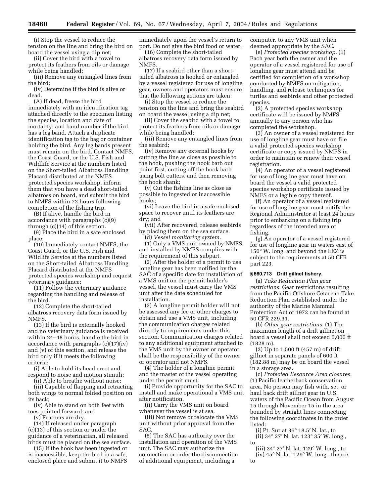(i) Stop the vessel to reduce the tension on the line and bring the bird on board the vessel using a dip net;

(ii) Cover the bird with a towel to protect its feathers from oils or damage while being handled;

(iii) Remove any entangled lines from the bird;

(iv) Determine if the bird is alive or dead.

(A) If dead, freeze the bird immediately with an identification tag attached directly to the specimen listing the species, location and date of mortality, and band number if the bird has a leg band. Attach a duplicate identification tag to the bag or container holding the bird. Any leg bands present must remain on the bird. Contact NMFS, the Coast Guard, or the U.S. Fish and Wildlife Service at the numbers listed on the Short-tailed Albatross Handling Placard distributed at the NMFS protected species workshop, inform them that you have a dead short-tailed albatross on board, and submit the bird to NMFS within 72 hours following completion of the fishing trip.

(B) If alive, handle the bird in accordance with paragraphs (c)(9) through (c)(14) of this section.

(9) Place the bird in a safe enclosed place;

(10) Immediately contact NMFS, the Coast Guard, or the U.S. Fish and Wildlife Service at the numbers listed on the Short-tailed Albatross Handling Placard distributed at the NMFS protected species workshop and request veterinary guidance;

(11) Follow the veterinary guidance regarding the handling and release of the bird.

(12) Complete the short-tailed albatross recovery data form issued by NMFS.

(13) If the bird is externally hooked and no veterinary guidance is received within 24–48 hours, handle the bird in accordance with paragraphs (c)(17)(iv) and (v) of this section, and release the bird only if it meets the following criteria:

(i) Able to hold its head erect and respond to noise and motion stimuli;

(ii) Able to breathe without noise;

(iii) Capable of flapping and retracting both wings to normal folded position on its back;

(iv) Able to stand on both feet with toes pointed forward; and

(v) Feathers are dry.

(14) If released under paragraph (c)(13) of this section or under the guidance of a veterinarian, all released birds must be placed on the sea surface.

(15) If the hook has been ingested or is inaccessible, keep the bird in a safe, enclosed place and submit it to NMFS immediately upon the vessel's return to port. Do not give the bird food or water.

(16) Complete the short-tailed albatross recovery data form issued by NMFS.

(17) If a seabird other than a shorttailed albatross is hooked or entangled by a vessel registered for use of longline gear, owners and operators must ensure that the following actions are taken:

(i) Stop the vessel to reduce the tension on the line and bring the seabird on board the vessel using a dip net;

(ii) Cover the seabird with a towel to protect its feathers from oils or damage while being handled;

(iii) Remove any entangled lines from the seabird;

(iv) Remove any external hooks by cutting the line as close as possible to the hook, pushing the hook barb out point first, cutting off the hook barb using bolt cutters, and then removing the hook shank;

(v) Cut the fishing line as close as possible to ingested or inaccessible hooks;

(vi) Leave the bird in a safe enclosed space to recover until its feathers are dry; and

(vii) After recovered, release seabirds by placing them on the sea surface.

(d) *Vessel monitoring system.* 

(1) Only a VMS unit owned by NMFS and installed by NMFS complies with the requirement of this subpart.

(2) After the holder of a permit to use longline gear has been notified by the SAC of a specific date for installation of a VMS unit on the permit holder's vessel, the vessel must carry the VMS unit after the date scheduled for installation.

(3) A longline permit holder will not be assessed any fee or other charges to obtain and use a VMS unit, including the communication charges related directly to requirements under this section. Communication charges related to any additional equipment attached to the VMS unit by the owner or operator shall be the responsibility of the owner or operator and not NMFS.

(4) The holder of a longline permit and the master of the vessel operating under the permit must:

(i) Provide opportunity for the SAC to install and make operational a VMS unit after notification.

(ii) Carry the VMS unit on board whenever the vessel is at sea.

(iii) Not remove or relocate the VMS unit without prior approval from the SAC.

(5) The SAC has authority over the installation and operation of the VMS unit. The SAC may authorize the connection or order the disconnection of additional equipment, including a

computer, to any VMS unit when deemed appropriate by the SAC.

(e) *Protected species workshop.* (1) Each year both the owner and the operator of a vessel registered for use of longline gear must attend and be certified for completion of a workshop conducted by NMFS on mitigation, handling, and release techniques for turtles and seabirds and other protected species.

(2) A protected species workshop certificate will be issued by NMFS annually to any person who has completed the workshop.

(3) An owner of a vessel registered for use of longline gear must have on file a valid protected species workshop certificate or copy issued by NMFS in order to maintain or renew their vessel registration.

(4) An operator of a vessel registered for use of longline gear must have on board the vessel a valid protected species workshop certificate issued by NMFS or a legible copy thereof.

(f) An operator of a vessel registered for use of longline gear must notify the Regional Administrator at least 24 hours prior to embarking on a fishing trip regardless of the intended area of fishing.

(g) An operator of a vessel registered for use of longline gear in waters east of 150° W. long. and beyond the EEZ is subject to the requirements at 50 CFR part 223.

# **§ 660.713 Drift gillnet fishery.**

(a) *Take Reduction Plan gear restrictions.* Gear restrictions resulting from the Pacific Offshore Cetacean Take Reduction Plan established under the authority of the Marine Mammal Protection Act of 1972 can be found at 50 CFR 229.31.

(b) *Other gear restrictions.* (1) The maximum length of a drift gillnet on board a vessel shall not exceed 6,000 ft (1828 m).

(2) Up to 1,500 ft (457 m) of drift gillnet in separate panels of 600 ft (182.88 m) may be on board the vessel in a storage area.

(c) *Protected Resource Area closures.*  (1) Pacific leatherback conservation area. No person may fish with, set, or haul back drift gillnet gear in U.S. waters of the Pacific Ocean from August 15 through November 15 in the area bounded by straight lines connecting the following coordinates in the order listed:

(i) Pt. Sur at 36° 18.5′ N. lat., to (ii) 34° 27′ N. lat. 123° 35′ W. long., to

(iii) 34° 27′ N. lat. 129° W. long., to (iv)  $45^{\circ}$  N. lat.  $129^{\circ}$  W. long., thence to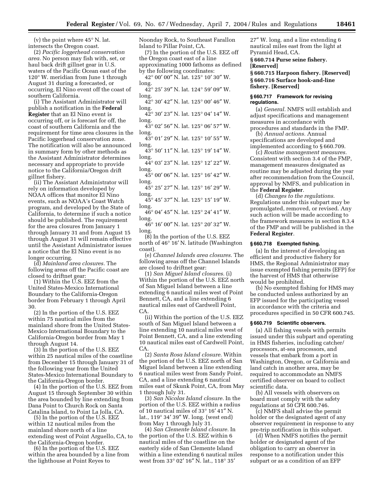(v) the point where 45° N. lat. intersects the Oregon coast.

(2) *Pacific loggerhead conservation area.* No person may fish with, set, or haul back drift gillnet gear in U.S. waters of the Pacific Ocean east of the 120° W. meridian from June 1 through August 31 during a forecasted, or occurring, El Nino event off the coast of southern California.

(i) The Assistant Administrator will publish a notification in the **Federal Register** that an El Nino event is occurring off, or is forecast for off, the coast of southern California and the requirement for time area closures in the Pacific loggerhead conservation zone. The notification will also be announced in summary form by other methods as the Assistant Administrator determines necessary and appropriate to provide notice to the California/Oregon drift gillnet fishery.

(ii) The Assistant Administrator will rely on information developed by NOAA offices that monitor El Nino events, such as NOAA's Coast Watch program, and developed by the State of California, to determine if such a notice should be published. The requirement for the area closures from January 1 through January 31 and from August 15 through August 31 will remain effective until the Assistant Administrator issues a notice that the El Nino event is no longer occurring.

(d) *Mainland area closures.* The following areas off the Pacific coast are closed to driftnet gear:

(1) Within the U.S. EEZ from the United States-Mexico International Boundary to the California-Oregon border from February 1 through April 30.

(2) In the portion of the U.S. EEZ within 75 nautical miles from the mainland shore from the United States-Mexico International Boundary to the California-Oregon border from May 1 through August 14.

(3) In the portion of the U.S. EEZ within 25 nautical miles of the coastline from December 15 through January 31 of the following year from the United States-Mexico International Boundary to the California-Oregon border.

(4) In the portion of the U.S. EEZ from August 15 through September 30 within the area bounded by line extending from Dana Point to Church Rock on Santa Catalina Island, to Point La Jolla, CA.

(5) In the portion of the U.S. EEZ within 12 nautical miles from the mainland shore north of a line extending west of Point Arguello, CA, to the California-Oregon border.

(6) In the portion of the U.S. EEZ within the area bounded by a line from the lighthouse at Point Reyes to

Noonday Rock, to Southeast Farallon Island to Pillar Point, CA.

(7) In the portion of the U.S. EEZ off the Oregon coast east of a line approximating 1000 fathoms as defined by the following coordinates:

42° 00′ 00″ N. lat. 125° 10′ 30″ W. long.

42° 25′ 39″ N. lat. 124° 59′ 09″ W. long.

42° 30′ 42″ N. lat. 125° 00′ 46″ W. long.

42° 30′ 23″ N. lat. 125° 04′ 14″ W. long.

43° 02′ 56″ N. lat. 125° 06′ 57″ W. long.

43° 01′ 29″ N. lat. 125° 10′ 55″ W. long.

43° 50′ 11″ N. lat. 125° 19′ 14″ W. long.

44° 03′ 23″ N. lat. 125° 12′ 22″ W. long.

45° 00′ 06″ N. lat. 125° 16′ 42″ W. long.

45° 25′ 27″ N. lat. 125° 16′ 29″ W. long.

45° 45′ 37″ N. lat. 125° 15′ 19″ W. long.

46° 04′ 45″ N. lat. 125° 24′ 41″ W. long.

46° 16′ 00″ N. lat. 125° 20′ 32″ W. long.

(8) In the portion of the U.S. EEZ north of 46° 16′ N. latitude (Washington coast).

(e) *Channel Islands area closures.* The following areas off the Channel Islands are closed to driftnet gear:

(1) *San Miguel Island closures.* (i) Within the portion of the U.S. EEZ north of San Miguel Island between a line extending 6 nautical miles west of Point Bennett, CA, and a line extending 6 nautical miles east of Cardwell Point, CA.

(ii) Within the portion of the U.S. EEZ south of San Miguel Island between a line extending 10 nautical miles west of Point Bennett, CA, and a line extending 10 nautical miles east of Cardwell Point, CA.

(2) *Santa Rosa Island closure.* Within the portion of the U.S. EEZ north of San Miguel Island between a line extending 6 nautical miles west from Sandy Point, CA, and a line extending 6 nautical miles east of Skunk Point, CA, from May 1 through July 31.

(3) *San Nicolas Island closure.* In the portion of the U.S. EEZ within a radius of 10 nautical miles of 33° 16′ 41″ N. lat., 119° 34′ 39″ W. long. (west end) from May 1 through July 31.

(4) *San Clemente Island closure.* In the portion of the U.S. EEZ within 6 nautical miles of the coastline on the easterly side of San Clemente Island within a line extending 6 nautical miles west from 33° 02′ 16″ N. lat., 118° 35′

27″ W. long. and a line extending 6 nautical miles east from the light at Pyramid Head, CA.

**§ 660.714 Purse seine fishery. [Reserved]** 

**§ 660.715 Harpoon fishery. [Reserved] § 660.716 Surface hook-and-line fishery. [Reserved]** 

# **§ 660.717 Framework for revising regulations.**

(a) *General.* NMFS will establish and adjust specifications and management measures in accordance with procedures and standards in the FMP.

(b) *Annual actions.* Annual specifications are developed and

implemented according to § 660.709. (c) *Routine management measures.* 

Consistent with section 3.4 of the FMP, management measures designated as routine may be adjusted during the year after recommendation from the Council, approval by NMFS, and publication in the **Federal Register**.

(d) *Changes to the regulations.*  Regulations under this subpart may be promulgated, removed, or revised. Any such action will be made according to the framework measures in section 8.3.4 of the FMP and will be published in the **Federal Register**.

#### **§ 660.718 Exempted fishing.**

(a) In the interest of developing an efficient and productive fishery for HMS, the Regional Administrator may issue exempted fishing permits (EFP) for the harvest of HMS that otherwise would be prohibited.

(b) No exempted fishing for HMS may be conducted unless authorized by an EFP issued for the participating vessel in accordance with the criteria and procedures specified in 50 CFR 600.745.

#### **§ 660.719 Scientific observers.**

(a) All fishing vessels with permits issued under this subpart and operating in HMS fisheries, including catcher/ processors, at-sea processors, and vessels that embark from a port in Washington, Oregon, or California and land catch in another area, may be required to accommodate an NMFS certified observer on board to collect scientific data.

(b) All vessels with observers on board must comply with the safety regulations at 50 CFR 600.746.

(c) NMFS shall advise the permit holder or the designated agent of any observer requirement in response to any pre-trip notification in this subpart.

(d) When NMFS notifies the permit holder or designated agent of the obligation to carry an observer in response to a notification under this subpart or as a condition of an EFP